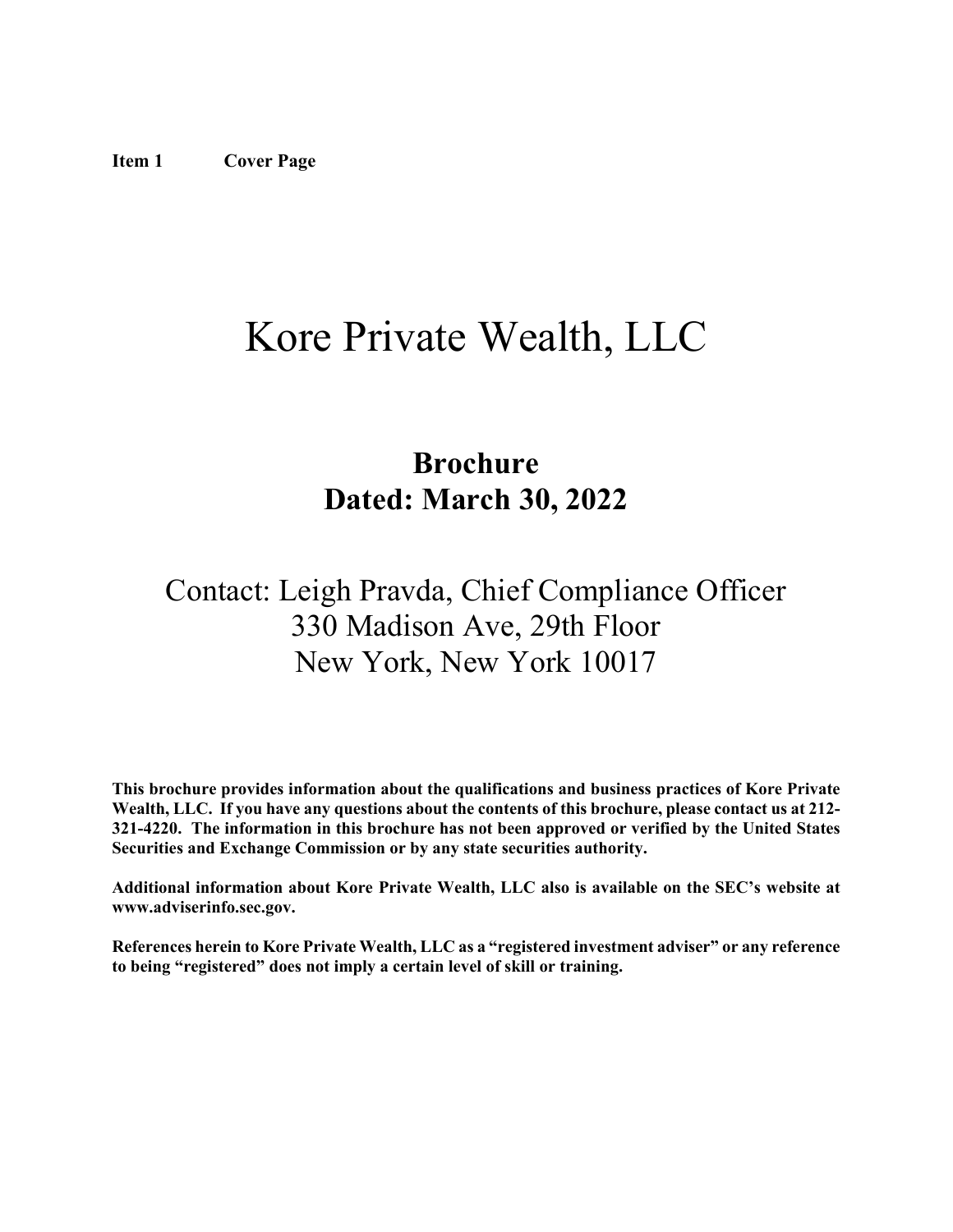# <span id="page-0-0"></span>Kore Private Wealth, LLC

## **Brochure Dated: March 30, 2022**

## Contact: Leigh Pravda, Chief Compliance Officer 330 Madison Ave, 29th Floor New York, New York 10017

**This brochure provides information about the qualifications and business practices of Kore Private Wealth, LLC. If you have any questions about the contents of this brochure, please contact us at 212- 321-4220. The information in this brochure has not been approved or verified by the United States Securities and Exchange Commission or by any state securities authority.**

**Additional information about Kore Private Wealth, LLC also is available on the SEC's website at www.adviserinfo.sec.gov.**

**References herein to Kore Private Wealth, LLC as a "registered investment adviser" or any reference to being "registered" does not imply a certain level of skill or training.**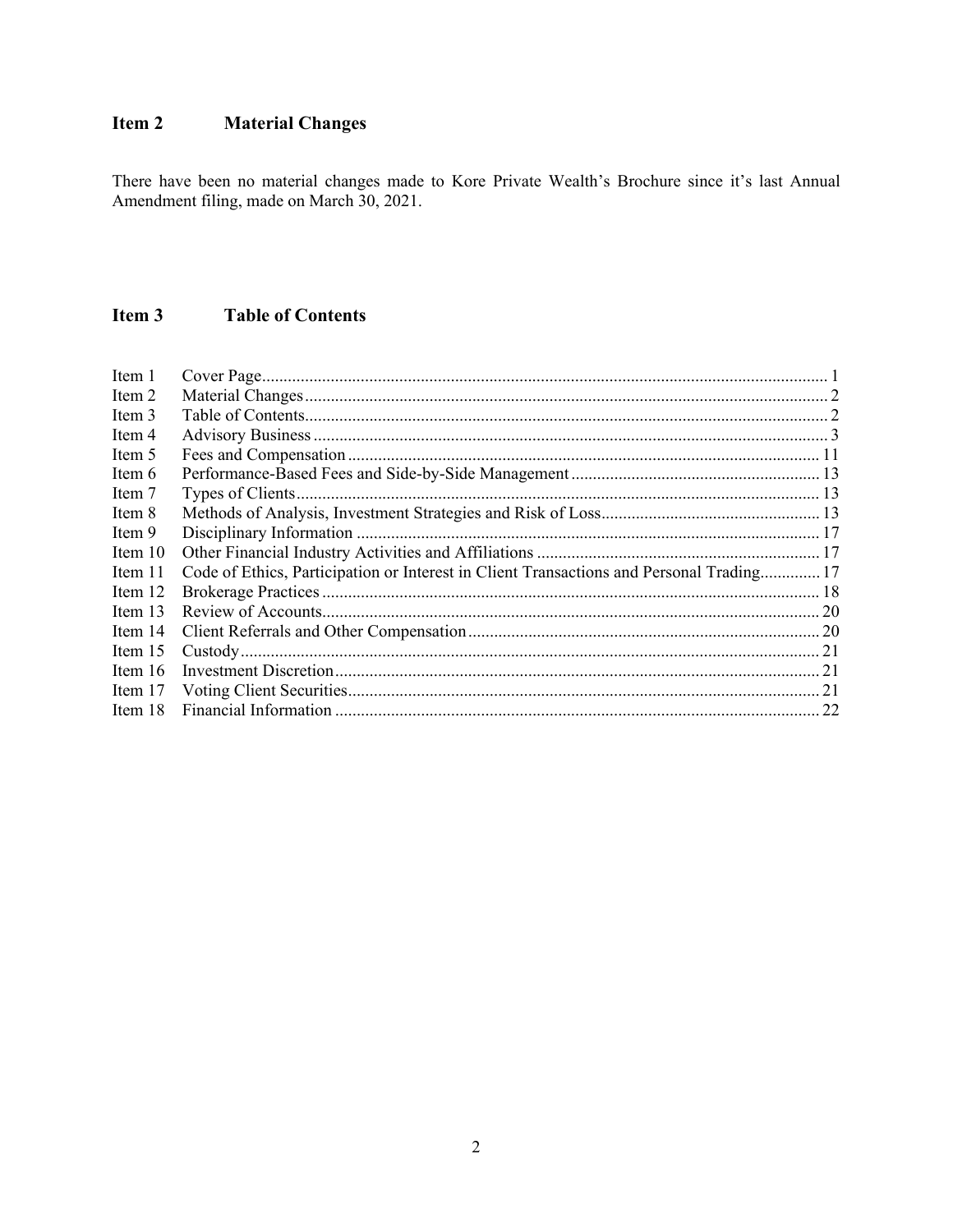#### <span id="page-1-0"></span>Item 2 **Material Changes**

There have been no material changes made to Kore Private Wealth's Brochure since it's last Annual Amendment filing, made on March 30, 2021.

#### <span id="page-1-1"></span>Item 3 **Table of Contents**

| Item 1    |                                                                                          |  |
|-----------|------------------------------------------------------------------------------------------|--|
| Item 2    |                                                                                          |  |
| Item 3    |                                                                                          |  |
| Item 4    |                                                                                          |  |
| Item 5    |                                                                                          |  |
| Item 6    |                                                                                          |  |
| Item 7    |                                                                                          |  |
| Item 8    |                                                                                          |  |
| Item 9    |                                                                                          |  |
| Item 10   |                                                                                          |  |
| Item 11   | Code of Ethics, Participation or Interest in Client Transactions and Personal Trading 17 |  |
| Item 12   |                                                                                          |  |
| Item 13   |                                                                                          |  |
| Item 14   |                                                                                          |  |
| Item $15$ |                                                                                          |  |
| Item $16$ |                                                                                          |  |
| Item 17   |                                                                                          |  |
| Item 18   |                                                                                          |  |
|           |                                                                                          |  |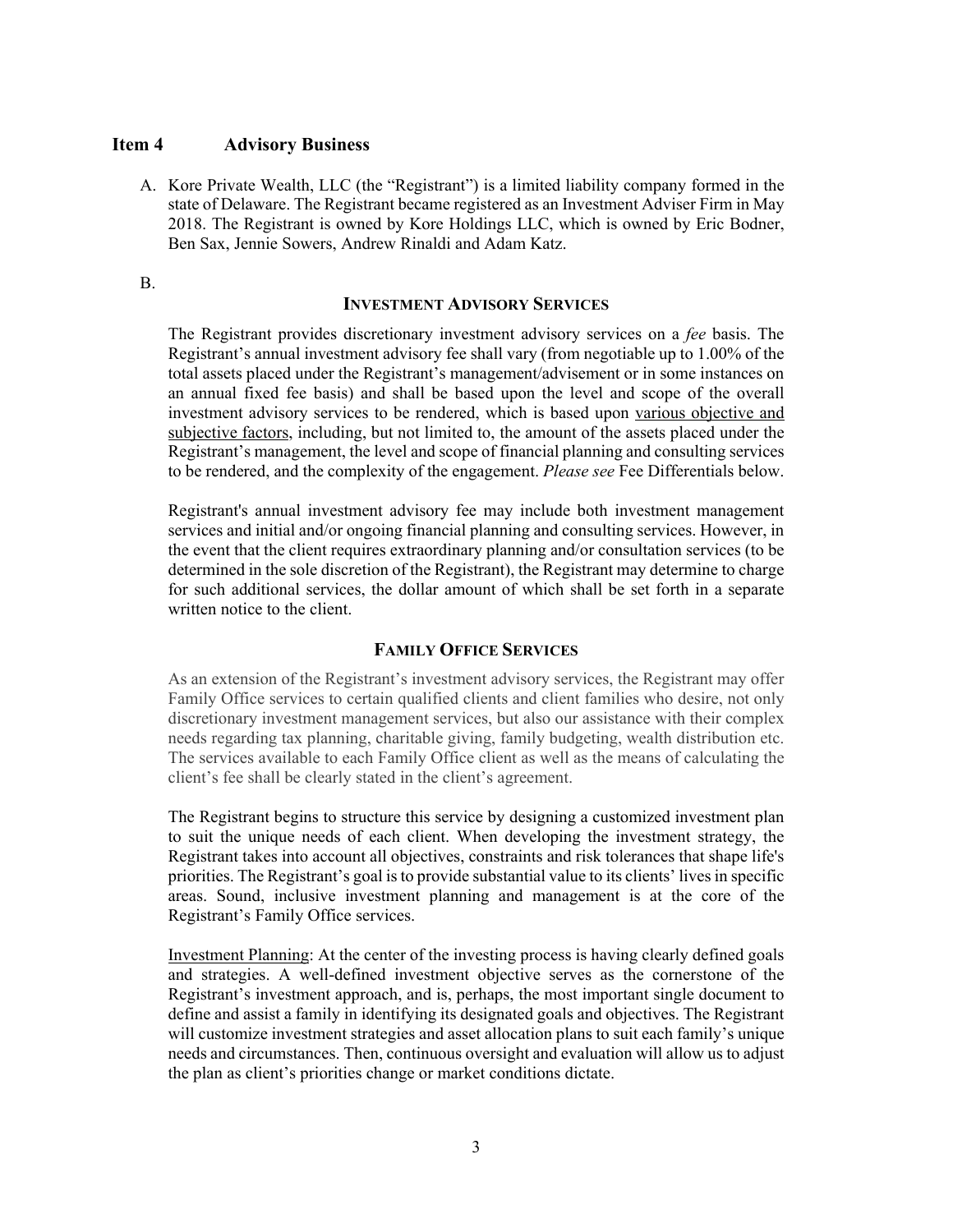#### <span id="page-2-0"></span>**Item 4 Advisory Business**

A. Kore Private Wealth, LLC (the "Registrant") is a limited liability company formed in the state of Delaware. The Registrant became registered as an Investment Adviser Firm in May 2018. The Registrant is owned by Kore Holdings LLC, which is owned by Eric Bodner, Ben Sax, Jennie Sowers, Andrew Rinaldi and Adam Katz.

B.

#### **INVESTMENT ADVISORY SERVICES**

The Registrant provides discretionary investment advisory services on a *fee* basis. The Registrant's annual investment advisory fee shall vary (from negotiable up to 1.00% of the total assets placed under the Registrant's management/advisement or in some instances on an annual fixed fee basis) and shall be based upon the level and scope of the overall investment advisory services to be rendered, which is based upon various objective and subjective factors, including, but not limited to, the amount of the assets placed under the Registrant's management, the level and scope of financial planning and consulting services to be rendered, and the complexity of the engagement. *Please see* Fee Differentials below.

Registrant's annual investment advisory fee may include both investment management services and initial and/or ongoing financial planning and consulting services. However, in the event that the client requires extraordinary planning and/or consultation services (to be determined in the sole discretion of the Registrant), the Registrant may determine to charge for such additional services, the dollar amount of which shall be set forth in a separate written notice to the client.

#### **FAMILY OFFICE SERVICES**

As an extension of the Registrant's investment advisory services, the Registrant may offer Family Office services to certain qualified clients and client families who desire, not only discretionary investment management services, but also our assistance with their complex needs regarding tax planning, charitable giving, family budgeting, wealth distribution etc. The services available to each Family Office client as well as the means of calculating the client's fee shall be clearly stated in the client's agreement.

The Registrant begins to structure this service by designing a customized investment plan to suit the unique needs of each client. When developing the investment strategy, the Registrant takes into account all objectives, constraints and risk tolerances that shape life's priorities. The Registrant's goal is to provide substantial value to its clients' lives in specific areas. Sound, inclusive investment planning and management is at the core of the Registrant's Family Office services.

Investment Planning: At the center of the investing process is having clearly defined goals and strategies. A well‐defined investment objective serves as the cornerstone of the Registrant's investment approach, and is, perhaps, the most important single document to define and assist a family in identifying its designated goals and objectives. The Registrant will customize investment strategies and asset allocation plans to suit each family's unique needs and circumstances. Then, continuous oversight and evaluation will allow us to adjust the plan as client's priorities change or market conditions dictate.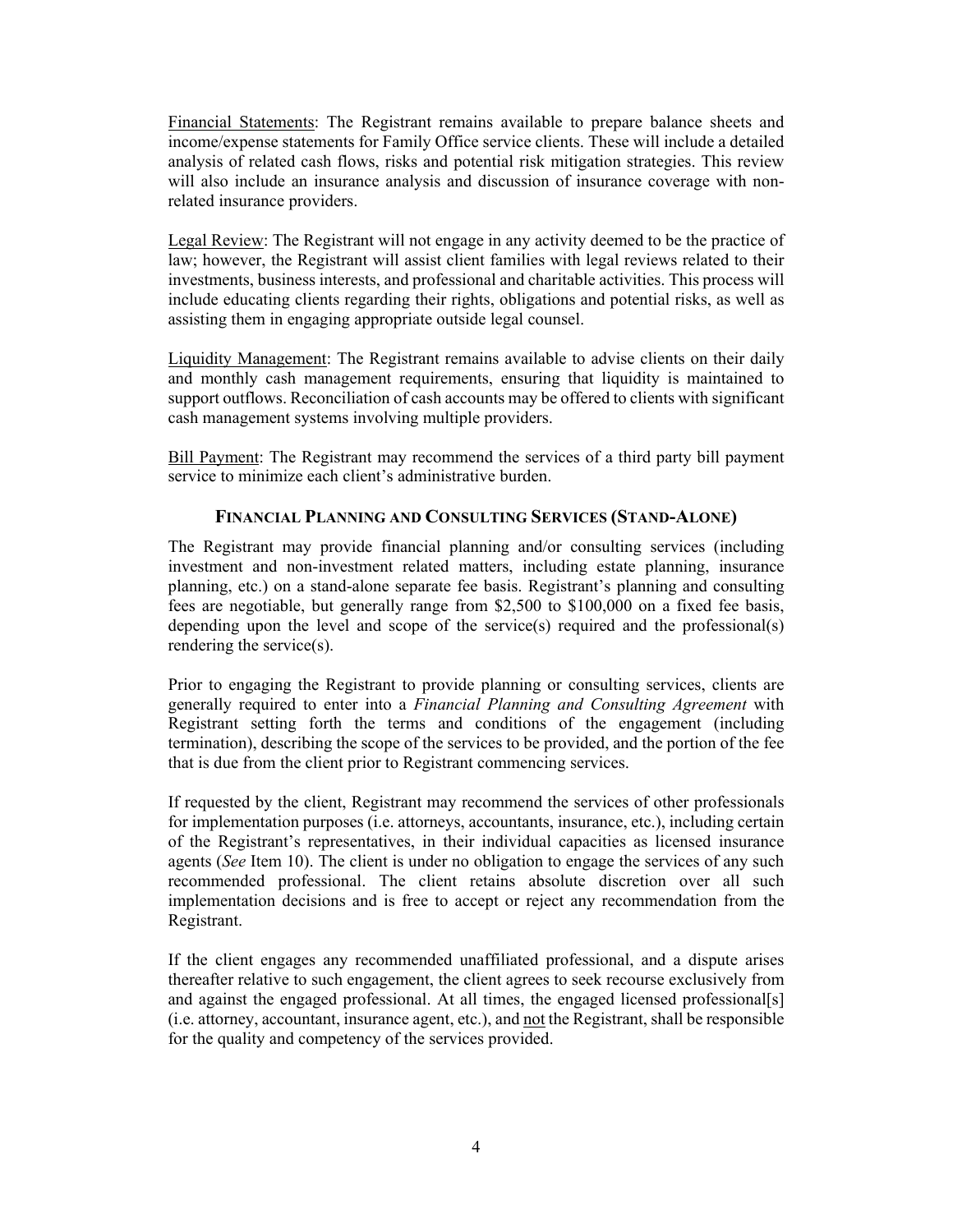Financial Statements: The Registrant remains available to prepare balance sheets and income/expense statements for Family Office service clients. These will include a detailed analysis of related cash flows, risks and potential risk mitigation strategies. This review will also include an insurance analysis and discussion of insurance coverage with nonrelated insurance providers.

Legal Review: The Registrant will not engage in any activity deemed to be the practice of law; however, the Registrant will assist client families with legal reviews related to their investments, business interests, and professional and charitable activities. This process will include educating clients regarding their rights, obligations and potential risks, as well as assisting them in engaging appropriate outside legal counsel.

Liquidity Management: The Registrant remains available to advise clients on their daily and monthly cash management requirements, ensuring that liquidity is maintained to support outflows. Reconciliation of cash accounts may be offered to clients with significant cash management systems involving multiple providers.

Bill Payment: The Registrant may recommend the services of a third party bill payment service to minimize each client's administrative burden.

#### **FINANCIAL PLANNING AND CONSULTING SERVICES (STAND-ALONE)**

The Registrant may provide financial planning and/or consulting services (including investment and non-investment related matters, including estate planning, insurance planning, etc.) on a stand-alone separate fee basis. Registrant's planning and consulting fees are negotiable, but generally range from \$2,500 to \$100,000 on a fixed fee basis, depending upon the level and scope of the service(s) required and the professional(s) rendering the service(s).

Prior to engaging the Registrant to provide planning or consulting services, clients are generally required to enter into a *Financial Planning and Consulting Agreement* with Registrant setting forth the terms and conditions of the engagement (including termination), describing the scope of the services to be provided, and the portion of the fee that is due from the client prior to Registrant commencing services.

If requested by the client, Registrant may recommend the services of other professionals for implementation purposes (i.e. attorneys, accountants, insurance, etc.), including certain of the Registrant's representatives, in their individual capacities as licensed insurance agents (*See* Item 10). The client is under no obligation to engage the services of any such recommended professional. The client retains absolute discretion over all such implementation decisions and is free to accept or reject any recommendation from the Registrant.

If the client engages any recommended unaffiliated professional, and a dispute arises thereafter relative to such engagement, the client agrees to seek recourse exclusively from and against the engaged professional. At all times, the engaged licensed professional[s] (i.e. attorney, accountant, insurance agent, etc.), and not the Registrant, shall be responsible for the quality and competency of the services provided.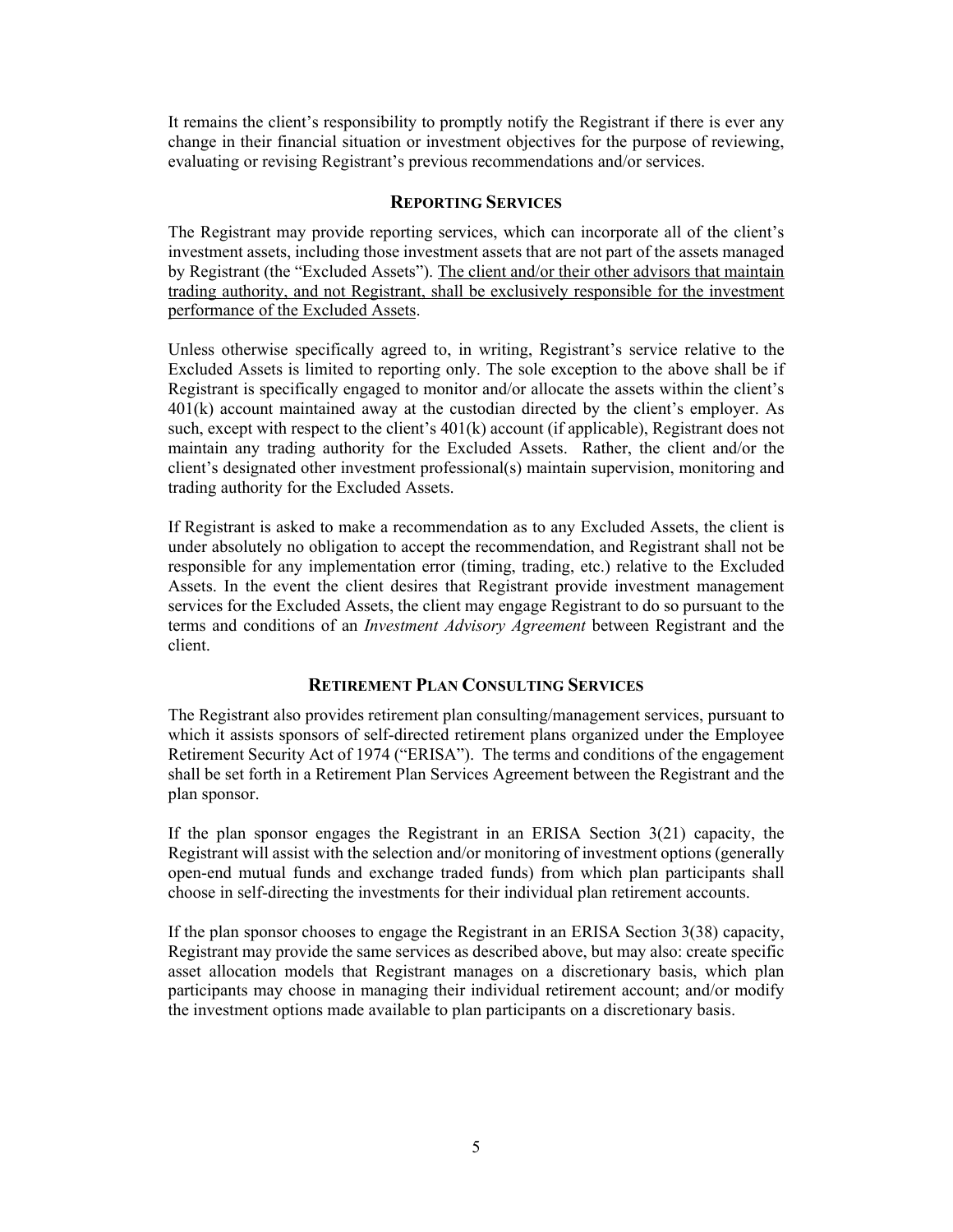It remains the client's responsibility to promptly notify the Registrant if there is ever any change in their financial situation or investment objectives for the purpose of reviewing, evaluating or revising Registrant's previous recommendations and/or services.

#### **REPORTING SERVICES**

The Registrant may provide reporting services, which can incorporate all of the client's investment assets, including those investment assets that are not part of the assets managed by Registrant (the "Excluded Assets"). The client and/or their other advisors that maintain trading authority, and not Registrant, shall be exclusively responsible for the investment performance of the Excluded Assets.

Unless otherwise specifically agreed to, in writing, Registrant's service relative to the Excluded Assets is limited to reporting only. The sole exception to the above shall be if Registrant is specifically engaged to monitor and/or allocate the assets within the client's 401(k) account maintained away at the custodian directed by the client's employer. As such, except with respect to the client's 401(k) account (if applicable), Registrant does not maintain any trading authority for the Excluded Assets. Rather, the client and/or the client's designated other investment professional(s) maintain supervision, monitoring and trading authority for the Excluded Assets.

If Registrant is asked to make a recommendation as to any Excluded Assets, the client is under absolutely no obligation to accept the recommendation, and Registrant shall not be responsible for any implementation error (timing, trading, etc.) relative to the Excluded Assets. In the event the client desires that Registrant provide investment management services for the Excluded Assets, the client may engage Registrant to do so pursuant to the terms and conditions of an *Investment Advisory Agreement* between Registrant and the client.

#### **RETIREMENT PLAN CONSULTING SERVICES**

The Registrant also provides retirement plan consulting/management services, pursuant to which it assists sponsors of self-directed retirement plans organized under the Employee Retirement Security Act of 1974 ("ERISA"). The terms and conditions of the engagement shall be set forth in a Retirement Plan Services Agreement between the Registrant and the plan sponsor.

If the plan sponsor engages the Registrant in an ERISA Section 3(21) capacity, the Registrant will assist with the selection and/or monitoring of investment options (generally open-end mutual funds and exchange traded funds) from which plan participants shall choose in self-directing the investments for their individual plan retirement accounts.

If the plan sponsor chooses to engage the Registrant in an ERISA Section 3(38) capacity, Registrant may provide the same services as described above, but may also: create specific asset allocation models that Registrant manages on a discretionary basis, which plan participants may choose in managing their individual retirement account; and/or modify the investment options made available to plan participants on a discretionary basis.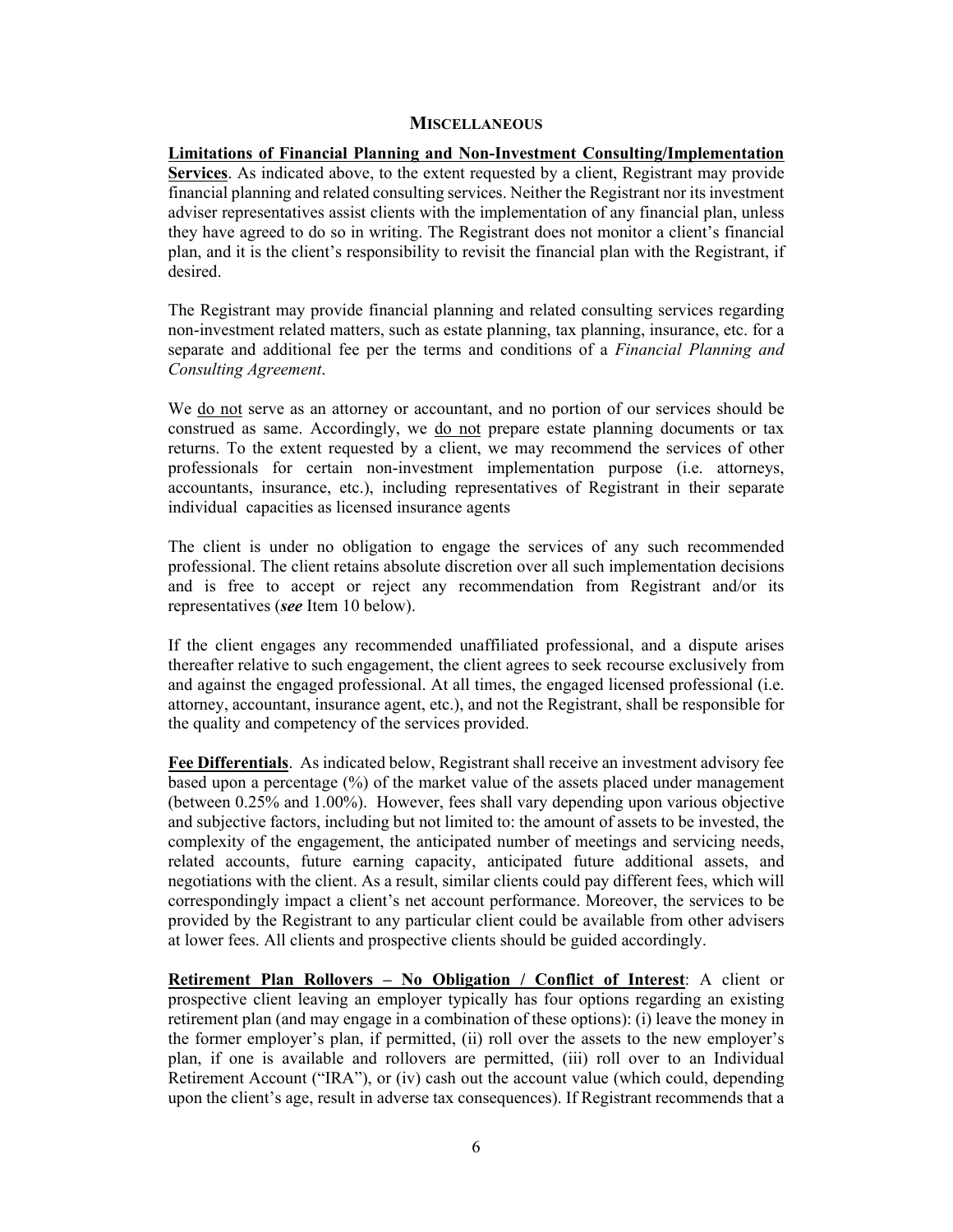#### **MISCELLANEOUS**

**Limitations of Financial Planning and Non-Investment Consulting/Implementation Services**. As indicated above, to the extent requested by a client, Registrant may provide financial planning and related consulting services. Neither the Registrant nor its investment adviser representatives assist clients with the implementation of any financial plan, unless they have agreed to do so in writing. The Registrant does not monitor a client's financial plan, and it is the client's responsibility to revisit the financial plan with the Registrant, if desired.

The Registrant may provide financial planning and related consulting services regarding non-investment related matters, such as estate planning, tax planning, insurance, etc. for a separate and additional fee per the terms and conditions of a *Financial Planning and Consulting Agreement*.

We do not serve as an attorney or accountant, and no portion of our services should be construed as same. Accordingly, we do not prepare estate planning documents or tax returns. To the extent requested by a client, we may recommend the services of other professionals for certain non-investment implementation purpose (i.e. attorneys, accountants, insurance, etc.), including representatives of Registrant in their separate individual capacities as licensed insurance agents

The client is under no obligation to engage the services of any such recommended professional. The client retains absolute discretion over all such implementation decisions and is free to accept or reject any recommendation from Registrant and/or its representatives (*see* Item 10 below).

If the client engages any recommended unaffiliated professional, and a dispute arises thereafter relative to such engagement, the client agrees to seek recourse exclusively from and against the engaged professional. At all times, the engaged licensed professional (i.e. attorney, accountant, insurance agent, etc.), and not the Registrant, shall be responsible for the quality and competency of the services provided.

**Fee Differentials**. As indicated below, Registrant shall receive an investment advisory fee based upon a percentage (%) of the market value of the assets placed under management (between 0.25% and 1.00%). However, fees shall vary depending upon various objective and subjective factors, including but not limited to: the amount of assets to be invested, the complexity of the engagement, the anticipated number of meetings and servicing needs, related accounts, future earning capacity, anticipated future additional assets, and negotiations with the client. As a result, similar clients could pay different fees, which will correspondingly impact a client's net account performance. Moreover, the services to be provided by the Registrant to any particular client could be available from other advisers at lower fees. All clients and prospective clients should be guided accordingly.

**Retirement Plan Rollovers – No Obligation / Conflict of Interest**: A client or prospective client leaving an employer typically has four options regarding an existing retirement plan (and may engage in a combination of these options): (i) leave the money in the former employer's plan, if permitted, (ii) roll over the assets to the new employer's plan, if one is available and rollovers are permitted, (iii) roll over to an Individual Retirement Account ("IRA"), or (iv) cash out the account value (which could, depending upon the client's age, result in adverse tax consequences). If Registrant recommends that a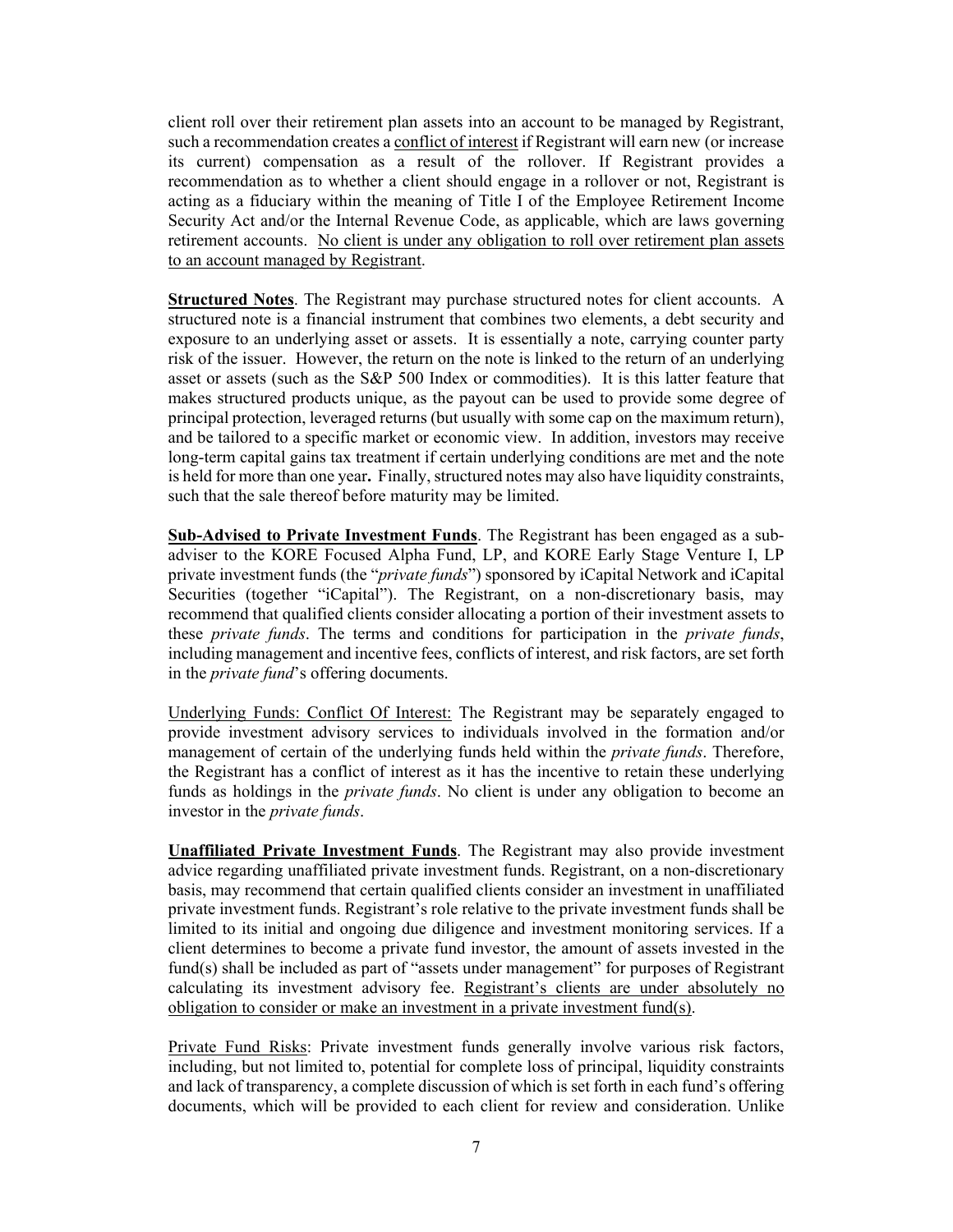client roll over their retirement plan assets into an account to be managed by Registrant, such a recommendation creates a conflict of interest if Registrant will earn new (or increase its current) compensation as a result of the rollover. If Registrant provides a recommendation as to whether a client should engage in a rollover or not, Registrant is acting as a fiduciary within the meaning of Title I of the Employee Retirement Income Security Act and/or the Internal Revenue Code, as applicable, which are laws governing retirement accounts. No client is under any obligation to roll over retirement plan assets to an account managed by Registrant.

**Structured Notes**. The Registrant may purchase structured notes for client accounts. A structured note is a financial instrument that combines two elements, a debt security and exposure to an underlying asset or assets. It is essentially a note, carrying counter party risk of the issuer. However, the return on the note is linked to the return of an underlying asset or assets (such as the S&P 500 Index or commodities). It is this latter feature that makes structured products unique, as the payout can be used to provide some degree of principal protection, leveraged returns (but usually with some cap on the maximum return), and be tailored to a specific market or economic view. In addition, investors may receive long-term capital gains tax treatment if certain underlying conditions are met and the note is held for more than one year**.** Finally, structured notes may also have liquidity constraints, such that the sale thereof before maturity may be limited.

**Sub-Advised to Private Investment Funds**. The Registrant has been engaged as a subadviser to the KORE Focused Alpha Fund, LP, and KORE Early Stage Venture I, LP private investment funds (the "*private funds*") sponsored by iCapital Network and iCapital Securities (together "iCapital"). The Registrant, on a non-discretionary basis, may recommend that qualified clients consider allocating a portion of their investment assets to these *private funds*. The terms and conditions for participation in the *private funds*, including management and incentive fees, conflicts of interest, and risk factors, are set forth in the *private fund*'s offering documents.

Underlying Funds: Conflict Of Interest: The Registrant may be separately engaged to provide investment advisory services to individuals involved in the formation and/or management of certain of the underlying funds held within the *private funds*. Therefore, the Registrant has a conflict of interest as it has the incentive to retain these underlying funds as holdings in the *private funds*. No client is under any obligation to become an investor in the *private funds*.

**Unaffiliated Private Investment Funds**. The Registrant may also provide investment advice regarding unaffiliated private investment funds. Registrant, on a non-discretionary basis, may recommend that certain qualified clients consider an investment in unaffiliated private investment funds. Registrant's role relative to the private investment funds shall be limited to its initial and ongoing due diligence and investment monitoring services. If a client determines to become a private fund investor, the amount of assets invested in the fund(s) shall be included as part of "assets under management" for purposes of Registrant calculating its investment advisory fee. Registrant's clients are under absolutely no obligation to consider or make an investment in a private investment fund(s).

Private Fund Risks: Private investment funds generally involve various risk factors, including, but not limited to, potential for complete loss of principal, liquidity constraints and lack of transparency, a complete discussion of which is set forth in each fund's offering documents, which will be provided to each client for review and consideration. Unlike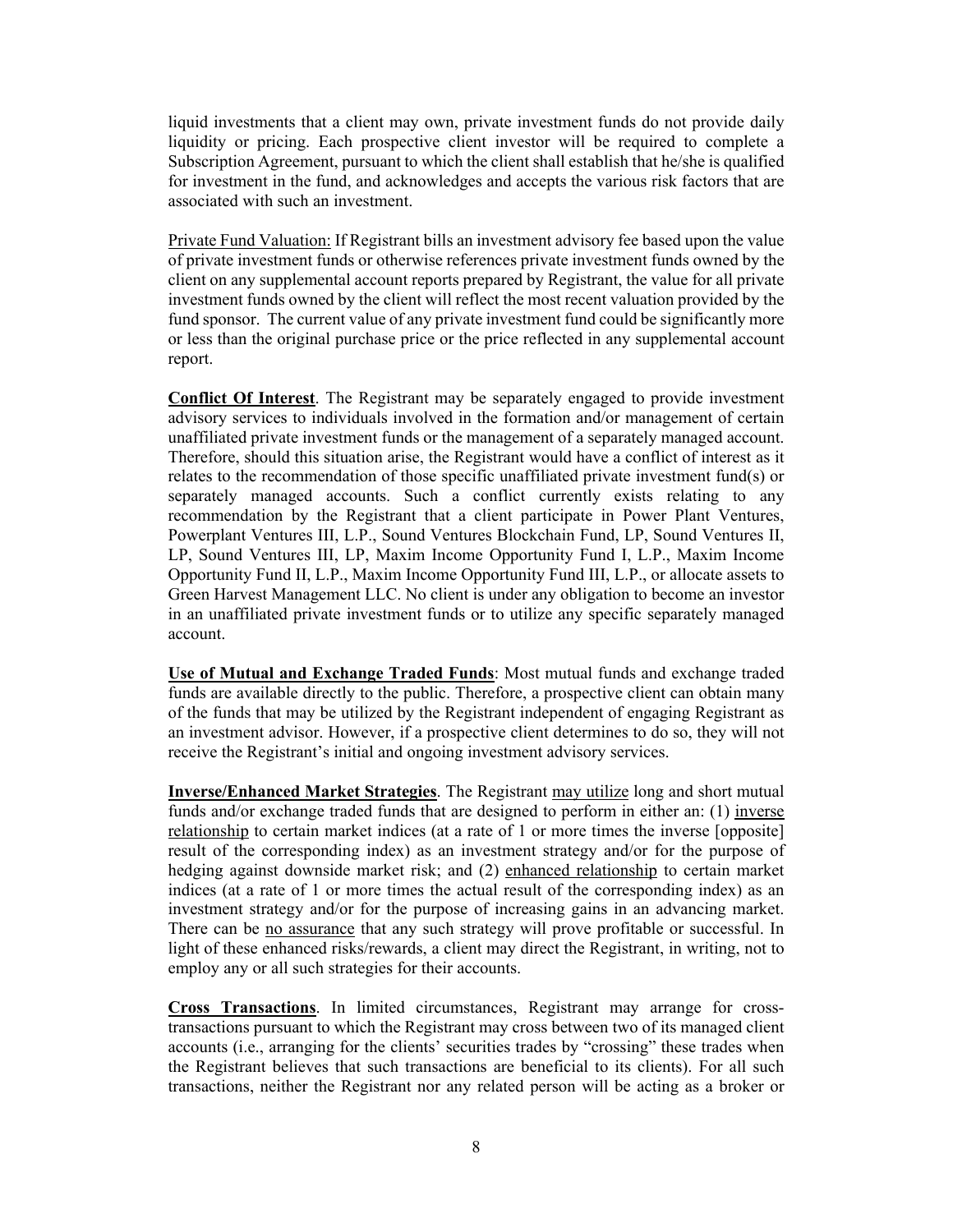liquid investments that a client may own, private investment funds do not provide daily liquidity or pricing. Each prospective client investor will be required to complete a Subscription Agreement, pursuant to which the client shall establish that he/she is qualified for investment in the fund, and acknowledges and accepts the various risk factors that are associated with such an investment.

Private Fund Valuation: If Registrant bills an investment advisory fee based upon the value of private investment funds or otherwise references private investment funds owned by the client on any supplemental account reports prepared by Registrant, the value for all private investment funds owned by the client will reflect the most recent valuation provided by the fund sponsor. The current value of any private investment fund could be significantly more or less than the original purchase price or the price reflected in any supplemental account report.

**Conflict Of Interest**. The Registrant may be separately engaged to provide investment advisory services to individuals involved in the formation and/or management of certain unaffiliated private investment funds or the management of a separately managed account. Therefore, should this situation arise, the Registrant would have a conflict of interest as it relates to the recommendation of those specific unaffiliated private investment fund(s) or separately managed accounts. Such a conflict currently exists relating to any recommendation by the Registrant that a client participate in Power Plant Ventures, Powerplant Ventures III, L.P., Sound Ventures Blockchain Fund, LP, Sound Ventures II, LP, Sound Ventures III, LP, Maxim Income Opportunity Fund I, L.P., Maxim Income Opportunity Fund II, L.P., Maxim Income Opportunity Fund III, L.P., or allocate assets to Green Harvest Management LLC. No client is under any obligation to become an investor in an unaffiliated private investment funds or to utilize any specific separately managed account.

**Use of Mutual and Exchange Traded Funds**: Most mutual funds and exchange traded funds are available directly to the public. Therefore, a prospective client can obtain many of the funds that may be utilized by the Registrant independent of engaging Registrant as an investment advisor. However, if a prospective client determines to do so, they will not receive the Registrant's initial and ongoing investment advisory services.

**Inverse/Enhanced Market Strategies**. The Registrant may utilize long and short mutual funds and/or exchange traded funds that are designed to perform in either an:  $(1)$  inverse relationship to certain market indices (at a rate of 1 or more times the inverse [opposite] result of the corresponding index) as an investment strategy and/or for the purpose of hedging against downside market risk; and (2) enhanced relationship to certain market indices (at a rate of 1 or more times the actual result of the corresponding index) as an investment strategy and/or for the purpose of increasing gains in an advancing market. There can be no assurance that any such strategy will prove profitable or successful. In light of these enhanced risks/rewards, a client may direct the Registrant, in writing, not to employ any or all such strategies for their accounts.

**Cross Transactions**. In limited circumstances, Registrant may arrange for crosstransactions pursuant to which the Registrant may cross between two of its managed client accounts (i.e., arranging for the clients' securities trades by "crossing" these trades when the Registrant believes that such transactions are beneficial to its clients). For all such transactions, neither the Registrant nor any related person will be acting as a broker or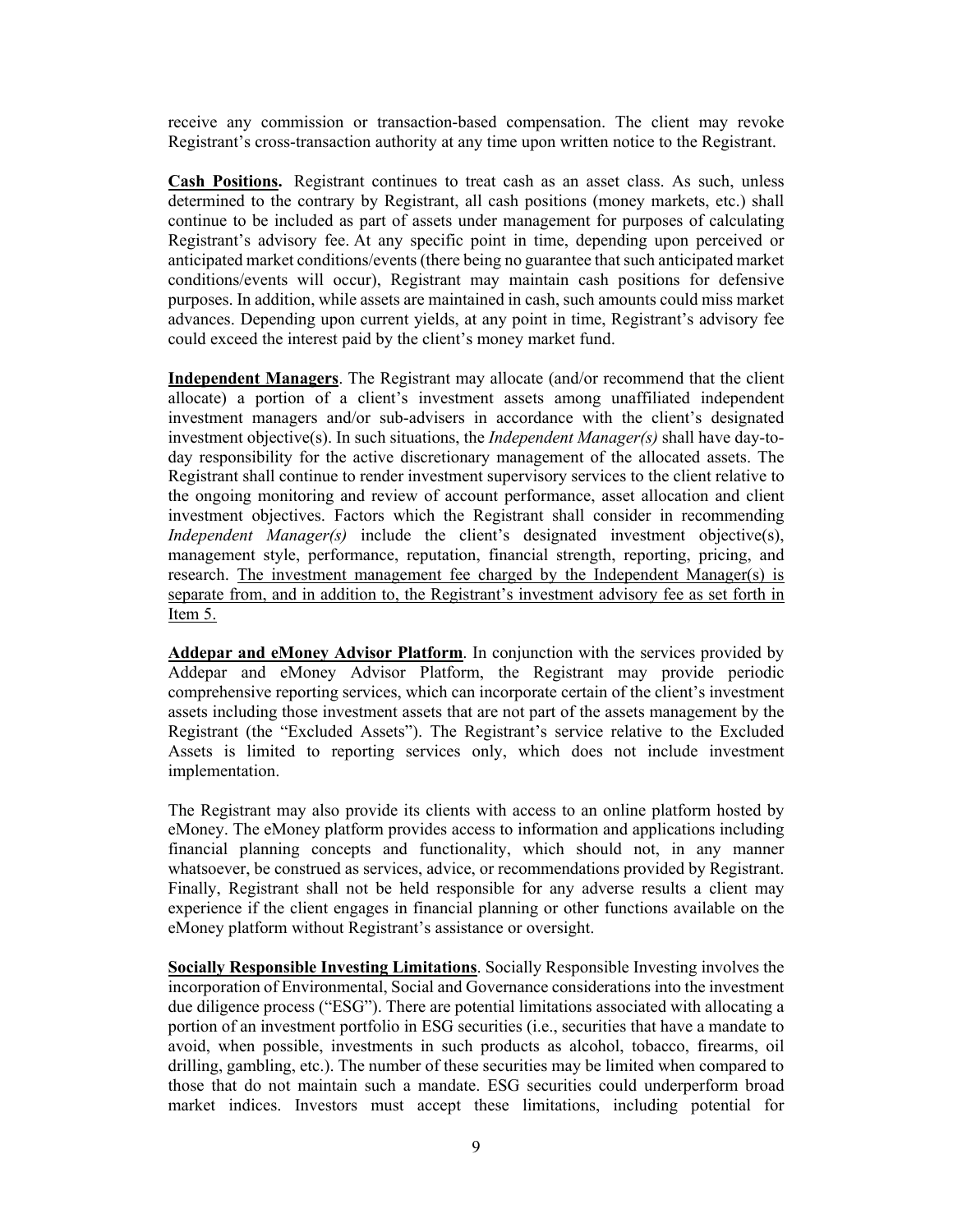receive any commission or transaction-based compensation. The client may revoke Registrant's cross-transaction authority at any time upon written notice to the Registrant.

**Cash Positions.** Registrant continues to treat cash as an asset class. As such, unless determined to the contrary by Registrant, all cash positions (money markets, etc.) shall continue to be included as part of assets under management for purposes of calculating Registrant's advisory fee. At any specific point in time, depending upon perceived or anticipated market conditions/events (there being no guarantee that such anticipated market conditions/events will occur), Registrant may maintain cash positions for defensive purposes. In addition, while assets are maintained in cash, such amounts could miss market advances. Depending upon current yields, at any point in time, Registrant's advisory fee could exceed the interest paid by the client's money market fund.

**Independent Managers**. The Registrant may allocate (and/or recommend that the client allocate) a portion of a client's investment assets among unaffiliated independent investment managers and/or sub-advisers in accordance with the client's designated investment objective(s). In such situations, the *Independent Manager(s)* shall have day-today responsibility for the active discretionary management of the allocated assets. The Registrant shall continue to render investment supervisory services to the client relative to the ongoing monitoring and review of account performance, asset allocation and client investment objectives. Factors which the Registrant shall consider in recommending *Independent Manager(s)* include the client's designated investment objective(s), management style, performance, reputation, financial strength, reporting, pricing, and research. The investment management fee charged by the Independent Manager(s) is separate from, and in addition to, the Registrant's investment advisory fee as set forth in Item 5.

**Addepar and eMoney Advisor Platform**. In conjunction with the services provided by Addepar and eMoney Advisor Platform, the Registrant may provide periodic comprehensive reporting services, which can incorporate certain of the client's investment assets including those investment assets that are not part of the assets management by the Registrant (the "Excluded Assets"). The Registrant's service relative to the Excluded Assets is limited to reporting services only, which does not include investment implementation.

The Registrant may also provide its clients with access to an online platform hosted by eMoney. The eMoney platform provides access to information and applications including financial planning concepts and functionality, which should not, in any manner whatsoever, be construed as services, advice, or recommendations provided by Registrant. Finally, Registrant shall not be held responsible for any adverse results a client may experience if the client engages in financial planning or other functions available on the eMoney platform without Registrant's assistance or oversight.

**Socially Responsible Investing Limitations**. Socially Responsible Investing involves the incorporation of Environmental, Social and Governance considerations into the investment due diligence process ("ESG"). There are potential limitations associated with allocating a portion of an investment portfolio in ESG securities (i.e., securities that have a mandate to avoid, when possible, investments in such products as alcohol, tobacco, firearms, oil drilling, gambling, etc.). The number of these securities may be limited when compared to those that do not maintain such a mandate. ESG securities could underperform broad market indices. Investors must accept these limitations, including potential for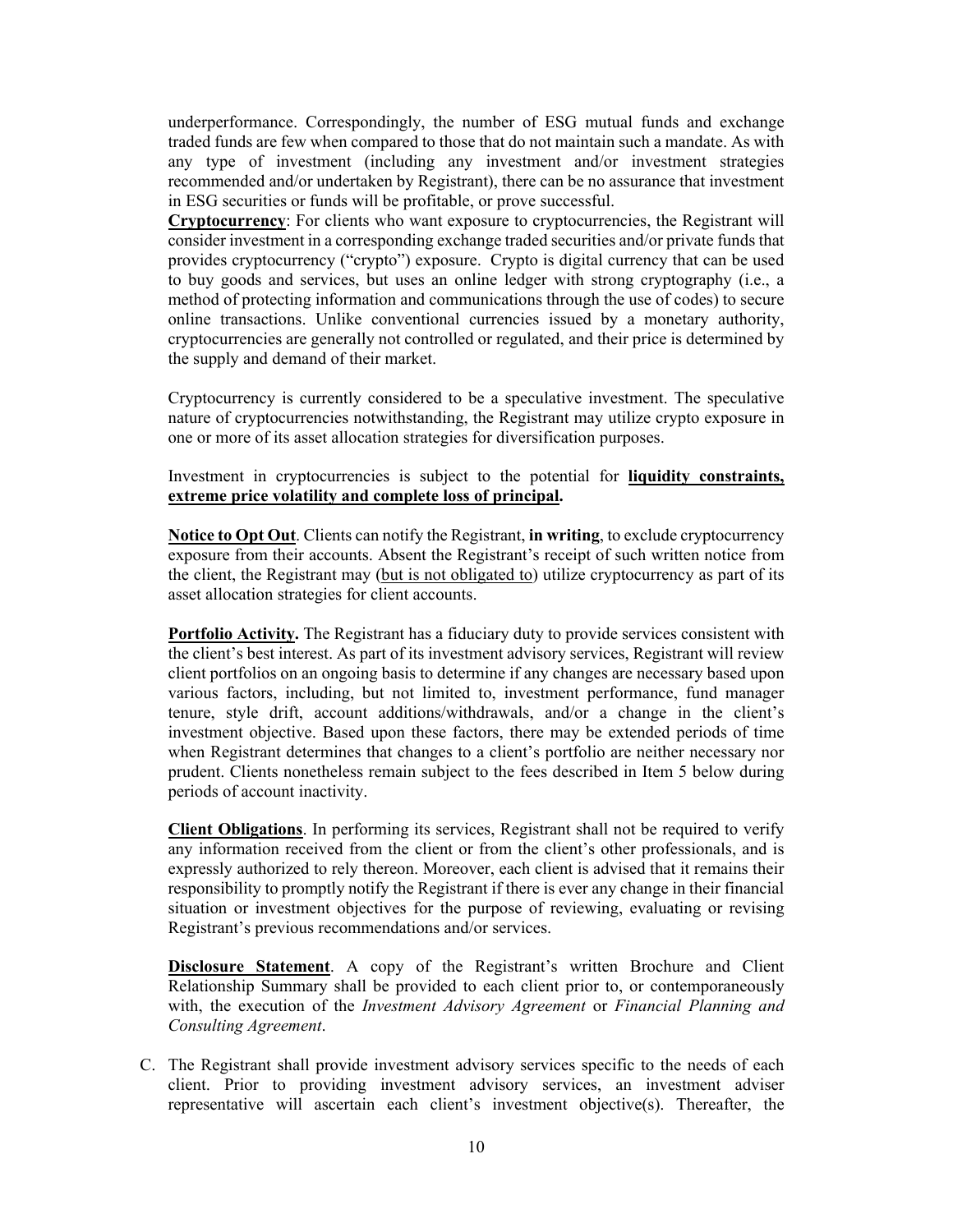underperformance. Correspondingly, the number of ESG mutual funds and exchange traded funds are few when compared to those that do not maintain such a mandate. As with any type of investment (including any investment and/or investment strategies recommended and/or undertaken by Registrant), there can be no assurance that investment in ESG securities or funds will be profitable, or prove successful.

**Cryptocurrency**: For clients who want exposure to cryptocurrencies, the Registrant will consider investment in a corresponding exchange traded securities and/or private funds that provides cryptocurrency ("crypto") exposure. Crypto is digital currency that can be used to buy goods and services, but uses an online ledger with strong cryptography (i.e., a method of protecting information and communications through the use of codes) to secure online transactions. Unlike conventional currencies issued by a monetary authority, cryptocurrencies are generally not controlled or regulated, and their price is determined by the supply and demand of their market.

Cryptocurrency is currently considered to be a speculative investment. The speculative nature of cryptocurrencies notwithstanding, the Registrant may utilize crypto exposure in one or more of its asset allocation strategies for diversification purposes.

Investment in cryptocurrencies is subject to the potential for **liquidity constraints, extreme price volatility and complete loss of principal.** 

**Notice to Opt Out**. Clients can notify the Registrant, **in writing**, to exclude cryptocurrency exposure from their accounts. Absent the Registrant's receipt of such written notice from the client, the Registrant may (but is not obligated to) utilize cryptocurrency as part of its asset allocation strategies for client accounts.

**Portfolio Activity.** The Registrant has a fiduciary duty to provide services consistent with the client's best interest. As part of its investment advisory services, Registrant will review client portfolios on an ongoing basis to determine if any changes are necessary based upon various factors, including, but not limited to, investment performance, fund manager tenure, style drift, account additions/withdrawals, and/or a change in the client's investment objective. Based upon these factors, there may be extended periods of time when Registrant determines that changes to a client's portfolio are neither necessary nor prudent. Clients nonetheless remain subject to the fees described in Item 5 below during periods of account inactivity.

**Client Obligations**. In performing its services, Registrant shall not be required to verify any information received from the client or from the client's other professionals, and is expressly authorized to rely thereon. Moreover, each client is advised that it remains their responsibility to promptly notify the Registrant if there is ever any change in their financial situation or investment objectives for the purpose of reviewing, evaluating or revising Registrant's previous recommendations and/or services.

**Disclosure Statement**. A copy of the Registrant's written Brochure and Client Relationship Summary shall be provided to each client prior to, or contemporaneously with, the execution of the *Investment Advisory Agreement* or *Financial Planning and Consulting Agreement*.

C. The Registrant shall provide investment advisory services specific to the needs of each client. Prior to providing investment advisory services, an investment adviser representative will ascertain each client's investment objective(s). Thereafter, the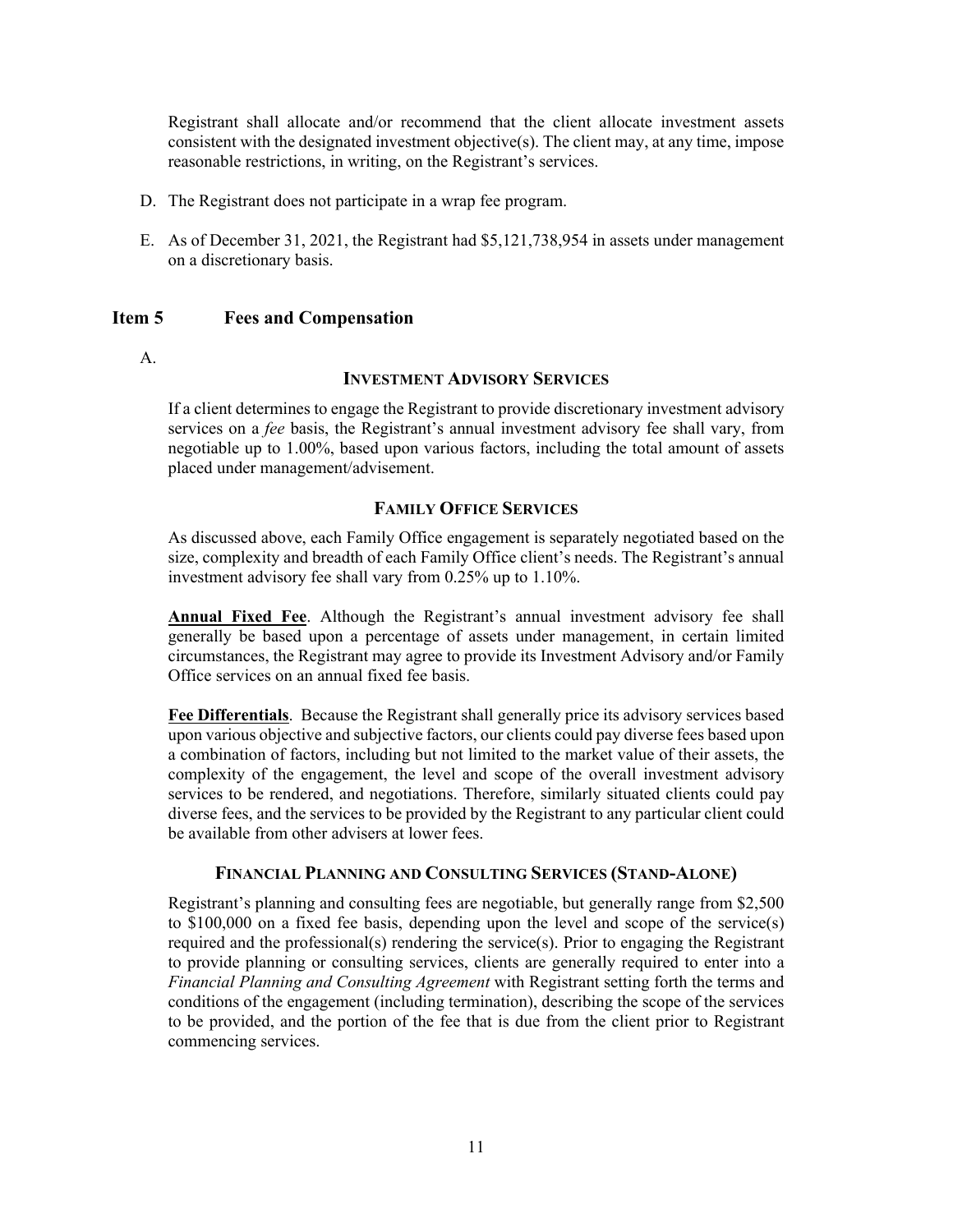Registrant shall allocate and/or recommend that the client allocate investment assets consistent with the designated investment objective(s). The client may, at any time, impose reasonable restrictions, in writing, on the Registrant's services.

- D. The Registrant does not participate in a wrap fee program.
- E. As of December 31, 2021, the Registrant had \$5,121,738,954 in assets under management on a discretionary basis.

#### <span id="page-10-0"></span>**Item 5 Fees and Compensation**

A.

#### **INVESTMENT ADVISORY SERVICES**

If a client determines to engage the Registrant to provide discretionary investment advisory services on a *fee* basis, the Registrant's annual investment advisory fee shall vary, from negotiable up to 1.00%, based upon various factors, including the total amount of assets placed under management/advisement.

#### **FAMILY OFFICE SERVICES**

As discussed above, each Family Office engagement is separately negotiated based on the size, complexity and breadth of each Family Office client's needs. The Registrant's annual investment advisory fee shall vary from 0.25% up to 1.10%.

**Annual Fixed Fee**. Although the Registrant's annual investment advisory fee shall generally be based upon a percentage of assets under management, in certain limited circumstances, the Registrant may agree to provide its Investment Advisory and/or Family Office services on an annual fixed fee basis.

**Fee Differentials**. Because the Registrant shall generally price its advisory services based upon various objective and subjective factors, our clients could pay diverse fees based upon a combination of factors, including but not limited to the market value of their assets, the complexity of the engagement, the level and scope of the overall investment advisory services to be rendered, and negotiations. Therefore, similarly situated clients could pay diverse fees, and the services to be provided by the Registrant to any particular client could be available from other advisers at lower fees.

#### **FINANCIAL PLANNING AND CONSULTING SERVICES (STAND-ALONE)**

Registrant's planning and consulting fees are negotiable, but generally range from \$2,500 to \$100,000 on a fixed fee basis, depending upon the level and scope of the service(s) required and the professional(s) rendering the service(s). Prior to engaging the Registrant to provide planning or consulting services, clients are generally required to enter into a *Financial Planning and Consulting Agreement* with Registrant setting forth the terms and conditions of the engagement (including termination), describing the scope of the services to be provided, and the portion of the fee that is due from the client prior to Registrant commencing services.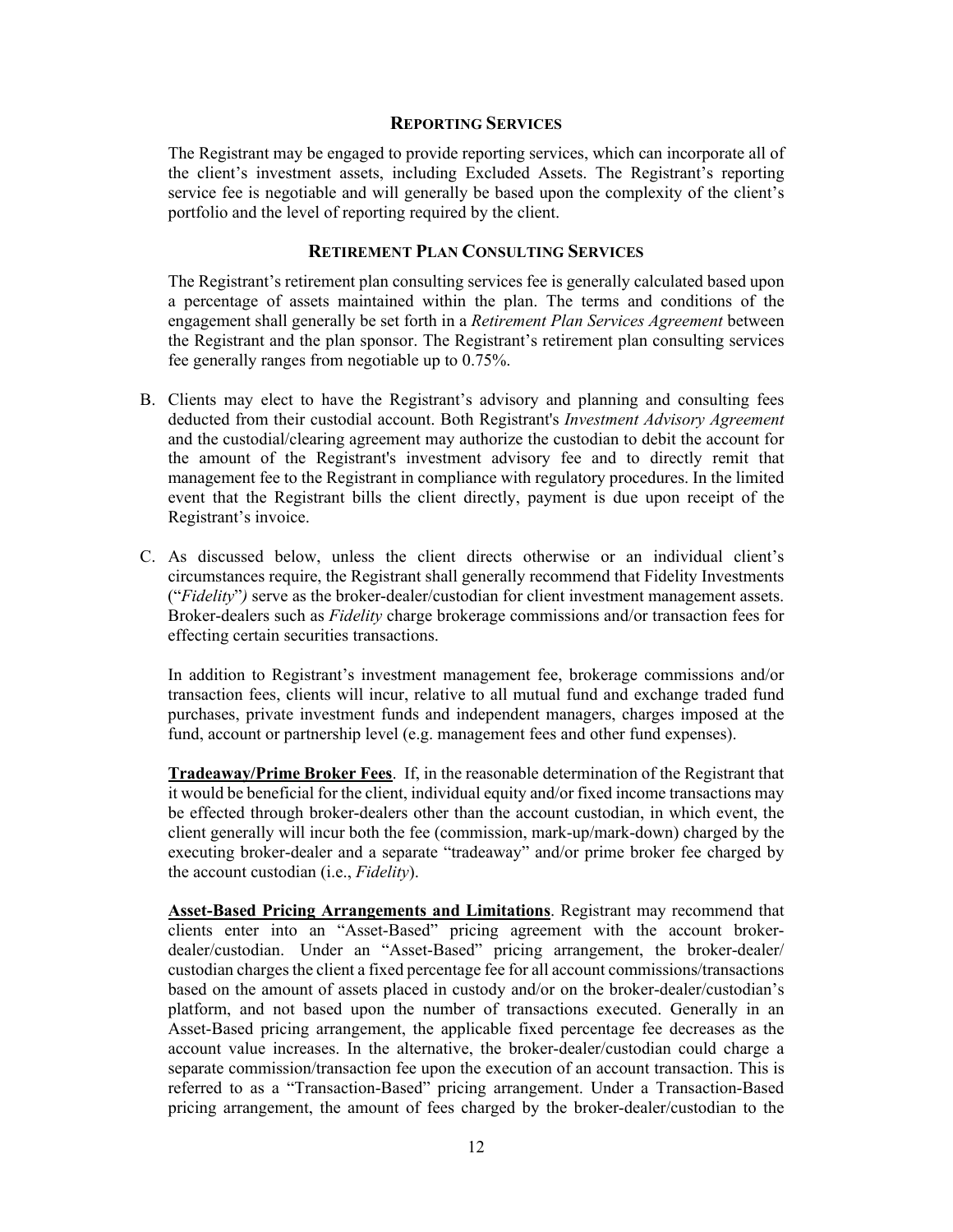#### **REPORTING SERVICES**

The Registrant may be engaged to provide reporting services, which can incorporate all of the client's investment assets, including Excluded Assets. The Registrant's reporting service fee is negotiable and will generally be based upon the complexity of the client's portfolio and the level of reporting required by the client.

#### **RETIREMENT PLAN CONSULTING SERVICES**

The Registrant's retirement plan consulting services fee is generally calculated based upon a percentage of assets maintained within the plan. The terms and conditions of the engagement shall generally be set forth in a *Retirement Plan Services Agreement* between the Registrant and the plan sponsor. The Registrant's retirement plan consulting services fee generally ranges from negotiable up to 0.75%.

- B. Clients may elect to have the Registrant's advisory and planning and consulting fees deducted from their custodial account. Both Registrant's *Investment Advisory Agreement* and the custodial/clearing agreement may authorize the custodian to debit the account for the amount of the Registrant's investment advisory fee and to directly remit that management fee to the Registrant in compliance with regulatory procedures. In the limited event that the Registrant bills the client directly, payment is due upon receipt of the Registrant's invoice.
- C. As discussed below, unless the client directs otherwise or an individual client's circumstances require, the Registrant shall generally recommend that Fidelity Investments ("*Fidelity*"*)* serve as the broker-dealer/custodian for client investment management assets. Broker-dealers such as *Fidelity* charge brokerage commissions and/or transaction fees for effecting certain securities transactions.

In addition to Registrant's investment management fee, brokerage commissions and/or transaction fees, clients will incur, relative to all mutual fund and exchange traded fund purchases, private investment funds and independent managers, charges imposed at the fund, account or partnership level (e.g. management fees and other fund expenses).

**Tradeaway/Prime Broker Fees**. If, in the reasonable determination of the Registrant that it would be beneficial for the client, individual equity and/or fixed income transactions may be effected through broker-dealers other than the account custodian, in which event, the client generally will incur both the fee (commission, mark-up/mark-down) charged by the executing broker-dealer and a separate "tradeaway" and/or prime broker fee charged by the account custodian (i.e., *Fidelity*).

**Asset-Based Pricing Arrangements and Limitations**. Registrant may recommend that clients enter into an "Asset-Based" pricing agreement with the account brokerdealer/custodian. Under an "Asset-Based" pricing arrangement, the broker-dealer/ custodian charges the client a fixed percentage fee for all account commissions/transactions based on the amount of assets placed in custody and/or on the broker-dealer/custodian's platform, and not based upon the number of transactions executed. Generally in an Asset-Based pricing arrangement, the applicable fixed percentage fee decreases as the account value increases. In the alternative, the broker-dealer/custodian could charge a separate commission/transaction fee upon the execution of an account transaction. This is referred to as a "Transaction-Based" pricing arrangement. Under a Transaction-Based pricing arrangement, the amount of fees charged by the broker-dealer/custodian to the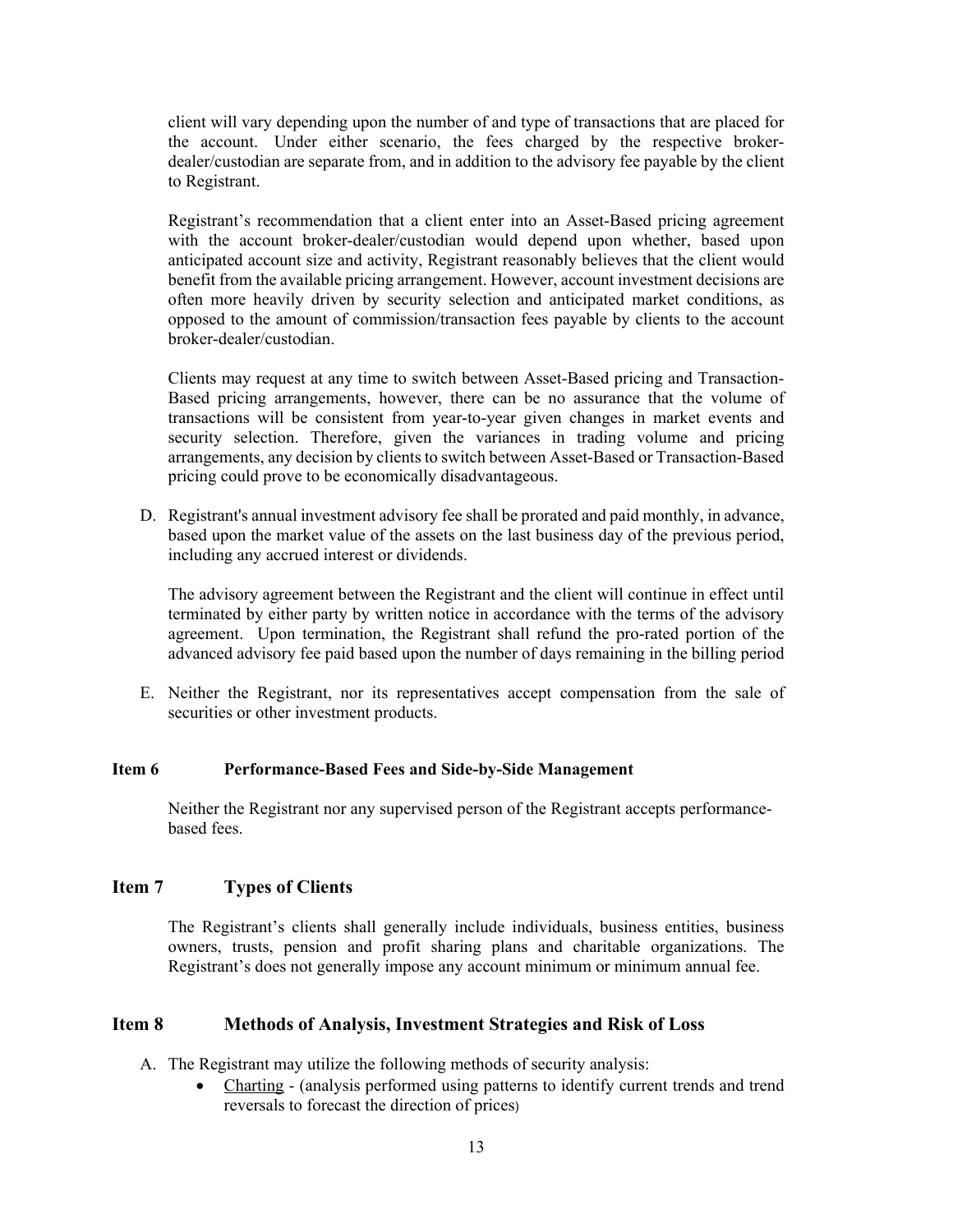client will vary depending upon the number of and type of transactions that are placed for the account. Under either scenario, the fees charged by the respective brokerdealer/custodian are separate from, and in addition to the advisory fee payable by the client to Registrant.

Registrant's recommendation that a client enter into an Asset-Based pricing agreement with the account broker-dealer/custodian would depend upon whether, based upon anticipated account size and activity, Registrant reasonably believes that the client would benefit from the available pricing arrangement. However, account investment decisions are often more heavily driven by security selection and anticipated market conditions, as opposed to the amount of commission/transaction fees payable by clients to the account broker-dealer/custodian.

Clients may request at any time to switch between Asset-Based pricing and Transaction-Based pricing arrangements, however, there can be no assurance that the volume of transactions will be consistent from year-to-year given changes in market events and security selection. Therefore, given the variances in trading volume and pricing arrangements, any decision by clients to switch between Asset-Based or Transaction-Based pricing could prove to be economically disadvantageous.

D. Registrant's annual investment advisory fee shall be prorated and paid monthly, in advance, based upon the market value of the assets on the last business day of the previous period, including any accrued interest or dividends.

The advisory agreement between the Registrant and the client will continue in effect until terminated by either party by written notice in accordance with the terms of the advisory agreement. Upon termination, the Registrant shall refund the pro-rated portion of the advanced advisory fee paid based upon the number of days remaining in the billing period

E. Neither the Registrant, nor its representatives accept compensation from the sale of securities or other investment products.

#### <span id="page-12-0"></span>**Item 6 Performance-Based Fees and Side-by-Side Management**

Neither the Registrant nor any supervised person of the Registrant accepts performancebased fees.

#### <span id="page-12-1"></span>**Item 7 Types of Clients**

The Registrant's clients shall generally include individuals, business entities, business owners, trusts, pension and profit sharing plans and charitable organizations. The Registrant's does not generally impose any account minimum or minimum annual fee.

#### <span id="page-12-2"></span>**Item 8 Methods of Analysis, Investment Strategies and Risk of Loss**

A. The Registrant may utilize the following methods of security analysis:

• Charting - (analysis performed using patterns to identify current trends and trend reversals to forecast the direction of prices)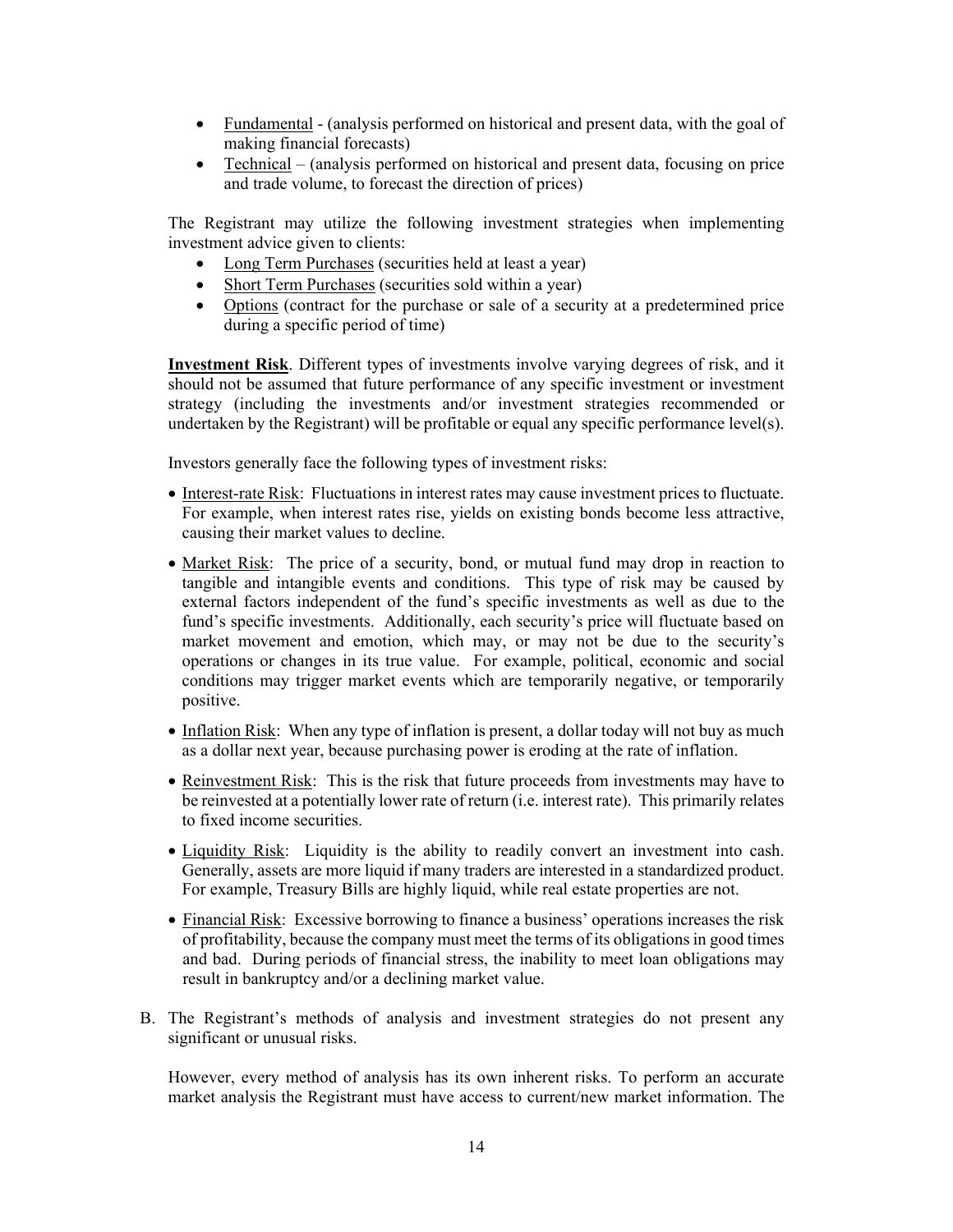- Fundamental (analysis performed on historical and present data, with the goal of making financial forecasts)
- Technical (analysis performed on historical and present data, focusing on price and trade volume, to forecast the direction of prices)

The Registrant may utilize the following investment strategies when implementing investment advice given to clients:

- Long Term Purchases (securities held at least a year)
- Short Term Purchases (securities sold within a year)
- Options (contract for the purchase or sale of a security at a predetermined price during a specific period of time)

**Investment Risk**. Different types of investments involve varying degrees of risk, and it should not be assumed that future performance of any specific investment or investment strategy (including the investments and/or investment strategies recommended or undertaken by the Registrant) will be profitable or equal any specific performance level(s).

Investors generally face the following types of investment risks:

- Interest-rate Risk: Fluctuations in interest rates may cause investment prices to fluctuate. For example, when interest rates rise, yields on existing bonds become less attractive, causing their market values to decline.
- Market Risk: The price of a security, bond, or mutual fund may drop in reaction to tangible and intangible events and conditions. This type of risk may be caused by external factors independent of the fund's specific investments as well as due to the fund's specific investments. Additionally, each security's price will fluctuate based on market movement and emotion, which may, or may not be due to the security's operations or changes in its true value. For example, political, economic and social conditions may trigger market events which are temporarily negative, or temporarily positive.
- Inflation Risk: When any type of inflation is present, a dollar today will not buy as much as a dollar next year, because purchasing power is eroding at the rate of inflation.
- Reinvestment Risk: This is the risk that future proceeds from investments may have to be reinvested at a potentially lower rate of return (i.e. interest rate). This primarily relates to fixed income securities.
- Liquidity Risk: Liquidity is the ability to readily convert an investment into cash. Generally, assets are more liquid if many traders are interested in a standardized product. For example, Treasury Bills are highly liquid, while real estate properties are not.
- Financial Risk: Excessive borrowing to finance a business' operations increases the risk of profitability, because the company must meet the terms of its obligations in good times and bad. During periods of financial stress, the inability to meet loan obligations may result in bankruptcy and/or a declining market value.
- B. The Registrant's methods of analysis and investment strategies do not present any significant or unusual risks.

However, every method of analysis has its own inherent risks. To perform an accurate market analysis the Registrant must have access to current/new market information. The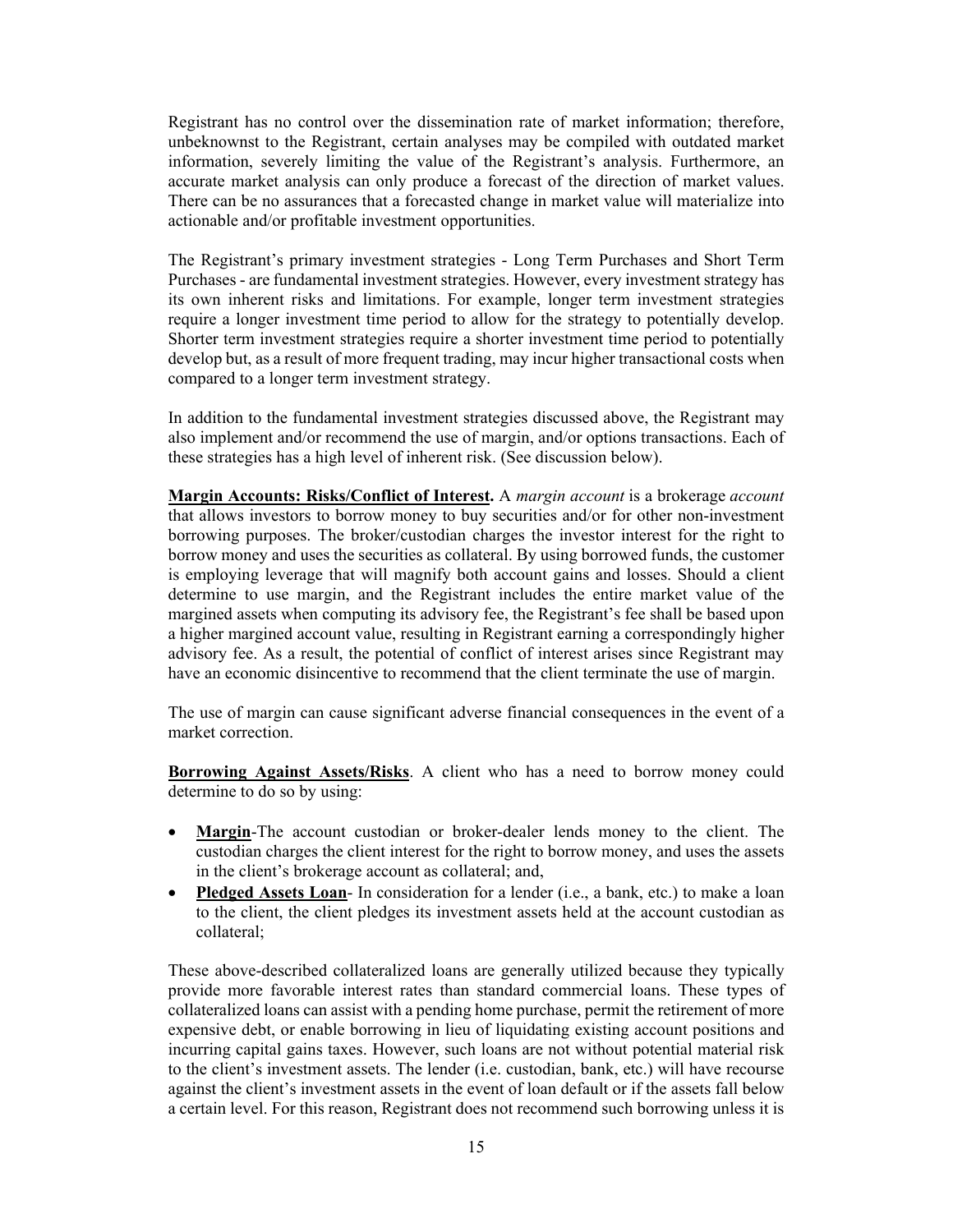Registrant has no control over the dissemination rate of market information; therefore, unbeknownst to the Registrant, certain analyses may be compiled with outdated market information, severely limiting the value of the Registrant's analysis. Furthermore, an accurate market analysis can only produce a forecast of the direction of market values. There can be no assurances that a forecasted change in market value will materialize into actionable and/or profitable investment opportunities.

The Registrant's primary investment strategies - Long Term Purchases and Short Term Purchases - are fundamental investment strategies. However, every investment strategy has its own inherent risks and limitations. For example, longer term investment strategies require a longer investment time period to allow for the strategy to potentially develop. Shorter term investment strategies require a shorter investment time period to potentially develop but, as a result of more frequent trading, may incur higher transactional costs when compared to a longer term investment strategy.

In addition to the fundamental investment strategies discussed above, the Registrant may also implement and/or recommend the use of margin, and/or options transactions. Each of these strategies has a high level of inherent risk. (See discussion below).

**Margin Accounts: Risks/Conflict of Interest.** A *margin account* is a brokerage *account* that allows investors to borrow money to buy securities and/or for other non-investment borrowing purposes. The broker/custodian charges the investor interest for the right to borrow money and uses the securities as collateral. By using borrowed funds, the customer is employing leverage that will magnify both account gains and losses. Should a client determine to use margin, and the Registrant includes the entire market value of the margined assets when computing its advisory fee, the Registrant's fee shall be based upon a higher margined account value, resulting in Registrant earning a correspondingly higher advisory fee. As a result, the potential of conflict of interest arises since Registrant may have an economic disincentive to recommend that the client terminate the use of margin.

The use of margin can cause significant adverse financial consequences in the event of a market correction.

**Borrowing Against Assets/Risks**. A client who has a need to borrow money could determine to do so by using:

- **Margin**-The account custodian or broker-dealer lends money to the client. The custodian charges the client interest for the right to borrow money, and uses the assets in the client's brokerage account as collateral; and,
- **Pledged Assets Loan-** In consideration for a lender (i.e., a bank, etc.) to make a loan to the client, the client pledges its investment assets held at the account custodian as collateral;

These above-described collateralized loans are generally utilized because they typically provide more favorable interest rates than standard commercial loans. These types of collateralized loans can assist with a pending home purchase, permit the retirement of more expensive debt, or enable borrowing in lieu of liquidating existing account positions and incurring capital gains taxes. However, such loans are not without potential material risk to the client's investment assets. The lender (i.e. custodian, bank, etc.) will have recourse against the client's investment assets in the event of loan default or if the assets fall below a certain level. For this reason, Registrant does not recommend such borrowing unless it is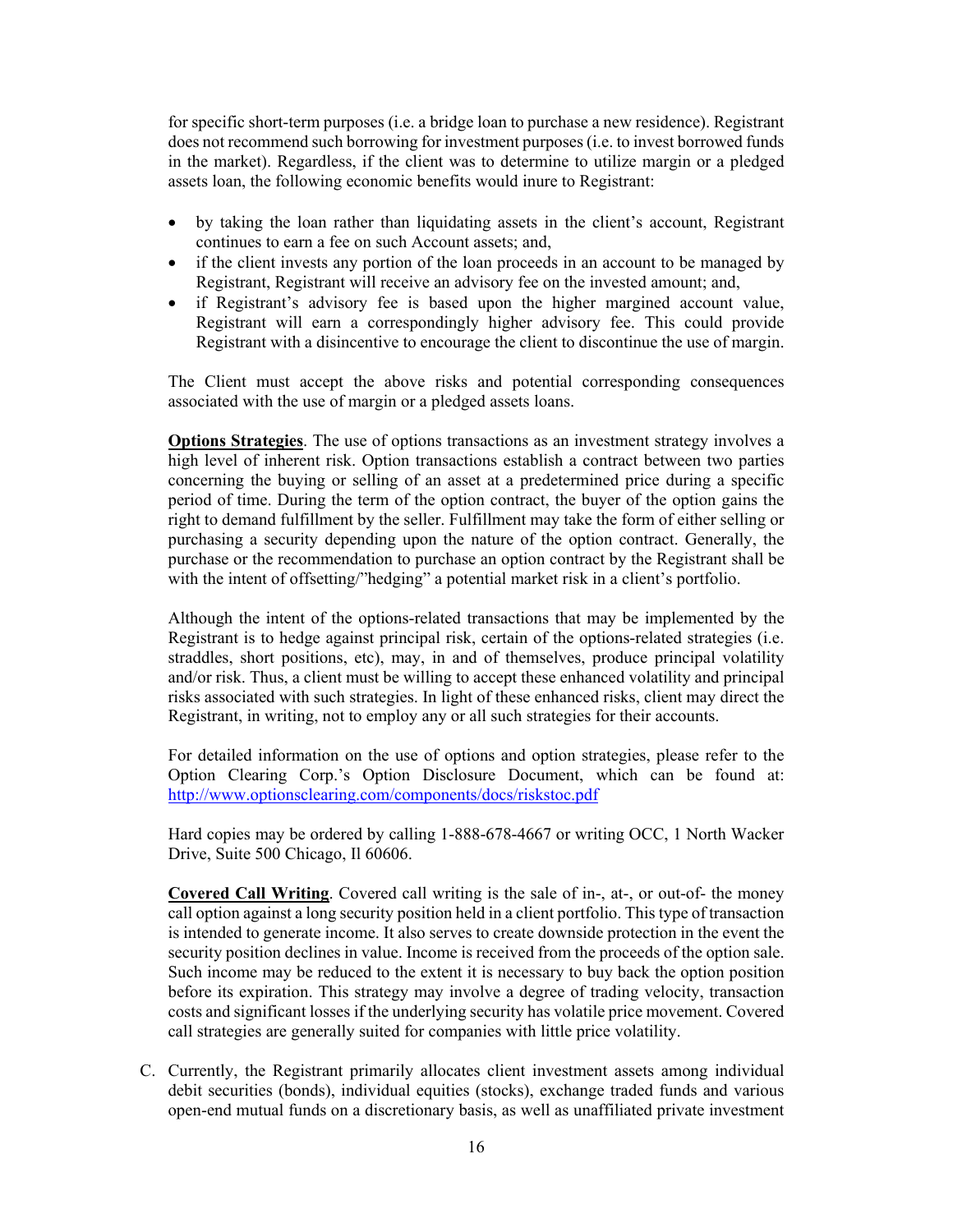for specific short-term purposes (i.e. a bridge loan to purchase a new residence). Registrant does not recommend such borrowing for investment purposes (i.e. to invest borrowed funds in the market). Regardless, if the client was to determine to utilize margin or a pledged assets loan, the following economic benefits would inure to Registrant:

- by taking the loan rather than liquidating assets in the client's account, Registrant continues to earn a fee on such Account assets; and,
- if the client invests any portion of the loan proceeds in an account to be managed by Registrant, Registrant will receive an advisory fee on the invested amount; and,
- if Registrant's advisory fee is based upon the higher margined account value, Registrant will earn a correspondingly higher advisory fee. This could provide Registrant with a disincentive to encourage the client to discontinue the use of margin.

The Client must accept the above risks and potential corresponding consequences associated with the use of margin or a pledged assets loans.

**Options Strategies**. The use of options transactions as an investment strategy involves a high level of inherent risk. Option transactions establish a contract between two parties concerning the buying or selling of an asset at a predetermined price during a specific period of time. During the term of the option contract, the buyer of the option gains the right to demand fulfillment by the seller. Fulfillment may take the form of either selling or purchasing a security depending upon the nature of the option contract. Generally, the purchase or the recommendation to purchase an option contract by the Registrant shall be with the intent of offsetting/"hedging" a potential market risk in a client's portfolio.

Although the intent of the options-related transactions that may be implemented by the Registrant is to hedge against principal risk, certain of the options-related strategies (i.e. straddles, short positions, etc), may, in and of themselves, produce principal volatility and/or risk. Thus, a client must be willing to accept these enhanced volatility and principal risks associated with such strategies. In light of these enhanced risks, client may direct the Registrant, in writing, not to employ any or all such strategies for their accounts.

For detailed information on the use of options and option strategies, please refer to the Option Clearing Corp.'s Option Disclosure Document, which can be found at: <http://www.optionsclearing.com/components/docs/riskstoc.pdf>

Hard copies may be ordered by calling 1-888-678-4667 or writing OCC, 1 North Wacker Drive, Suite 500 Chicago, Il 60606.

**Covered Call Writing**. Covered call writing is the sale of in-, at-, or out-of- the money call option against a long security position held in a client portfolio. This type of transaction is intended to generate income. It also serves to create downside protection in the event the security position declines in value. Income is received from the proceeds of the option sale. Such income may be reduced to the extent it is necessary to buy back the option position before its expiration. This strategy may involve a degree of trading velocity, transaction costs and significant losses if the underlying security has volatile price movement. Covered call strategies are generally suited for companies with little price volatility.

C. Currently, the Registrant primarily allocates client investment assets among individual debit securities (bonds), individual equities (stocks), exchange traded funds and various open-end mutual funds on a discretionary basis, as well as unaffiliated private investment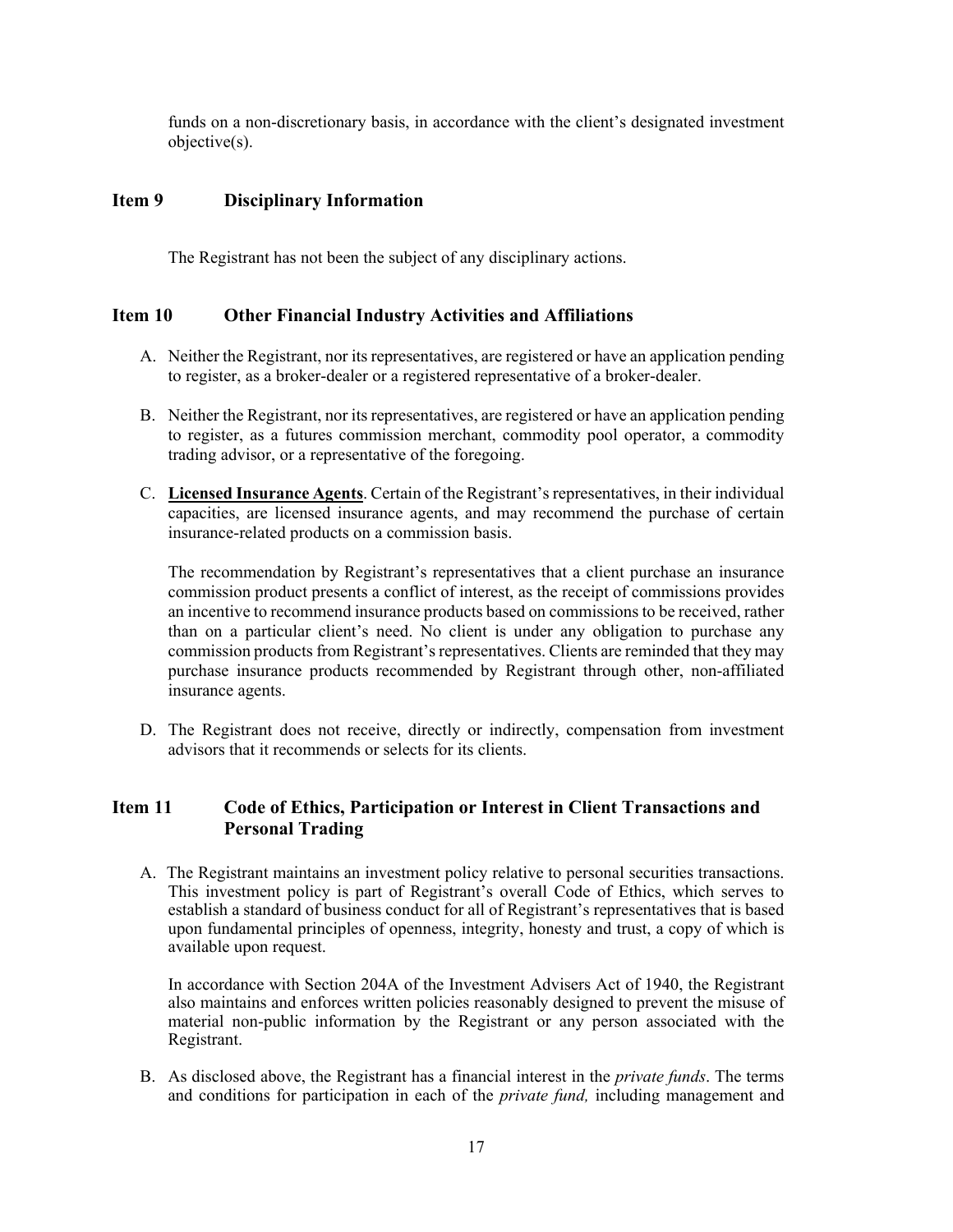funds on a non-discretionary basis, in accordance with the client's designated investment objective(s).

#### <span id="page-16-0"></span>**Item 9 Disciplinary Information**

The Registrant has not been the subject of any disciplinary actions.

#### <span id="page-16-1"></span>**Item 10 Other Financial Industry Activities and Affiliations**

- A. Neither the Registrant, nor its representatives, are registered or have an application pending to register, as a broker-dealer or a registered representative of a broker-dealer.
- B. Neither the Registrant, nor its representatives, are registered or have an application pending to register, as a futures commission merchant, commodity pool operator, a commodity trading advisor, or a representative of the foregoing.
- C. **Licensed Insurance Agents**. Certain of the Registrant's representatives, in their individual capacities, are licensed insurance agents, and may recommend the purchase of certain insurance-related products on a commission basis.

The recommendation by Registrant's representatives that a client purchase an insurance commission product presents a conflict of interest, as the receipt of commissions provides an incentive to recommend insurance products based on commissions to be received, rather than on a particular client's need. No client is under any obligation to purchase any commission products from Registrant's representatives. Clients are reminded that they may purchase insurance products recommended by Registrant through other, non-affiliated insurance agents.

D. The Registrant does not receive, directly or indirectly, compensation from investment advisors that it recommends or selects for its clients.

### <span id="page-16-2"></span>**Item 11 Code of Ethics, Participation or Interest in Client Transactions and Personal Trading**

A. The Registrant maintains an investment policy relative to personal securities transactions. This investment policy is part of Registrant's overall Code of Ethics, which serves to establish a standard of business conduct for all of Registrant's representatives that is based upon fundamental principles of openness, integrity, honesty and trust, a copy of which is available upon request.

In accordance with Section 204A of the Investment Advisers Act of 1940, the Registrant also maintains and enforces written policies reasonably designed to prevent the misuse of material non-public information by the Registrant or any person associated with the Registrant.

B. As disclosed above, the Registrant has a financial interest in the *private funds*. The terms and conditions for participation in each of the *private fund,* including management and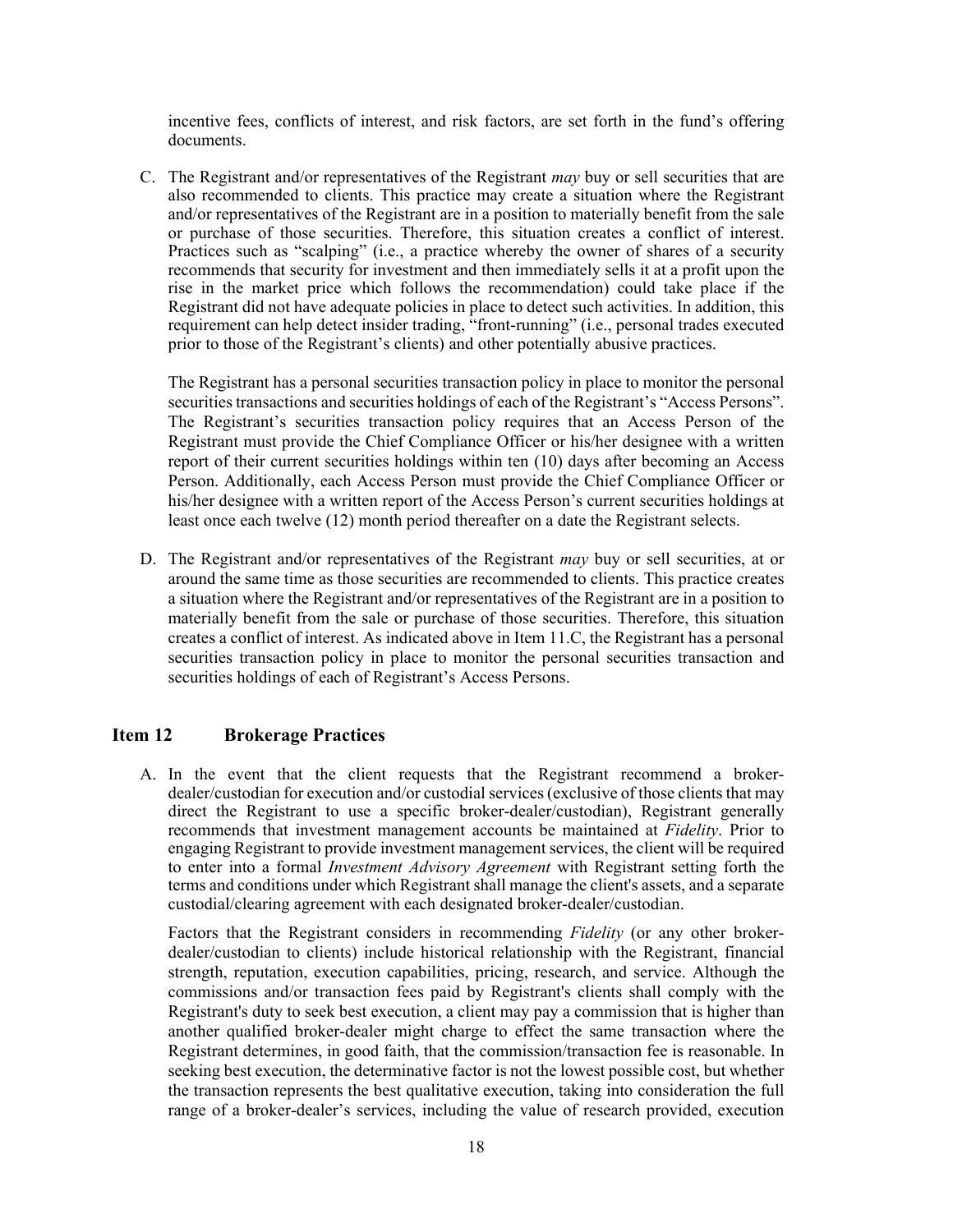incentive fees, conflicts of interest, and risk factors, are set forth in the fund's offering documents.

C. The Registrant and/or representatives of the Registrant *may* buy or sell securities that are also recommended to clients. This practice may create a situation where the Registrant and/or representatives of the Registrant are in a position to materially benefit from the sale or purchase of those securities. Therefore, this situation creates a conflict of interest. Practices such as "scalping" (i.e., a practice whereby the owner of shares of a security recommends that security for investment and then immediately sells it at a profit upon the rise in the market price which follows the recommendation) could take place if the Registrant did not have adequate policies in place to detect such activities. In addition, this requirement can help detect insider trading, "front-running" (i.e., personal trades executed prior to those of the Registrant's clients) and other potentially abusive practices.

The Registrant has a personal securities transaction policy in place to monitor the personal securities transactions and securities holdings of each of the Registrant's "Access Persons". The Registrant's securities transaction policy requires that an Access Person of the Registrant must provide the Chief Compliance Officer or his/her designee with a written report of their current securities holdings within ten (10) days after becoming an Access Person. Additionally, each Access Person must provide the Chief Compliance Officer or his/her designee with a written report of the Access Person's current securities holdings at least once each twelve (12) month period thereafter on a date the Registrant selects.

D. The Registrant and/or representatives of the Registrant *may* buy or sell securities, at or around the same time as those securities are recommended to clients. This practice creates a situation where the Registrant and/or representatives of the Registrant are in a position to materially benefit from the sale or purchase of those securities. Therefore, this situation creates a conflict of interest. As indicated above in Item 11.C, the Registrant has a personal securities transaction policy in place to monitor the personal securities transaction and securities holdings of each of Registrant's Access Persons.

#### <span id="page-17-0"></span>**Item 12 Brokerage Practices**

A. In the event that the client requests that the Registrant recommend a brokerdealer/custodian for execution and/or custodial services (exclusive of those clients that may direct the Registrant to use a specific broker-dealer/custodian), Registrant generally recommends that investment management accounts be maintained at *Fidelity*. Prior to engaging Registrant to provide investment management services, the client will be required to enter into a formal *Investment Advisory Agreement* with Registrant setting forth the terms and conditions under which Registrant shall manage the client's assets, and a separate custodial/clearing agreement with each designated broker-dealer/custodian.

Factors that the Registrant considers in recommending *Fidelity* (or any other brokerdealer/custodian to clients) include historical relationship with the Registrant, financial strength, reputation, execution capabilities, pricing, research, and service. Although the commissions and/or transaction fees paid by Registrant's clients shall comply with the Registrant's duty to seek best execution, a client may pay a commission that is higher than another qualified broker-dealer might charge to effect the same transaction where the Registrant determines, in good faith, that the commission/transaction fee is reasonable. In seeking best execution, the determinative factor is not the lowest possible cost, but whether the transaction represents the best qualitative execution, taking into consideration the full range of a broker-dealer's services, including the value of research provided, execution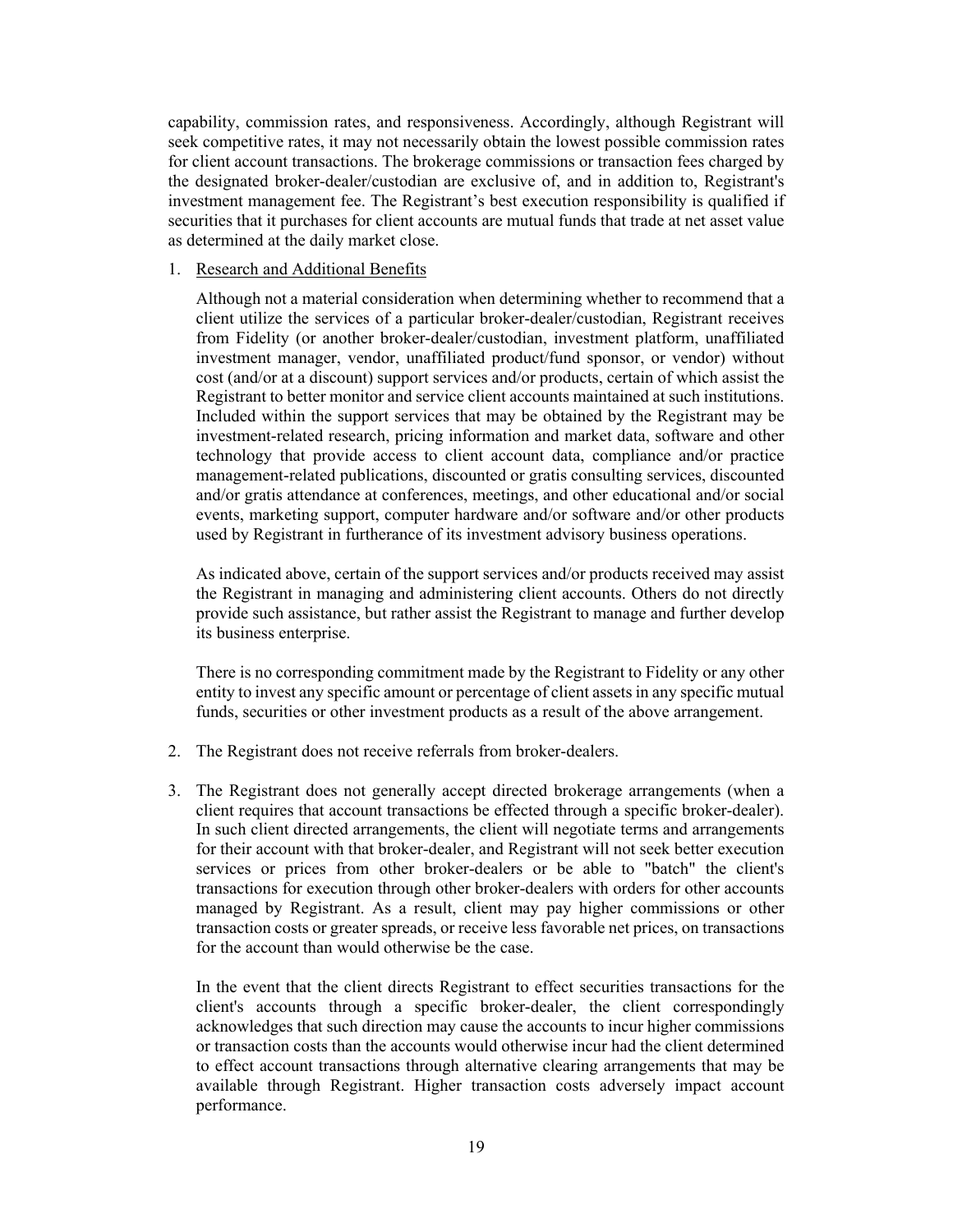capability, commission rates, and responsiveness. Accordingly, although Registrant will seek competitive rates, it may not necessarily obtain the lowest possible commission rates for client account transactions. The brokerage commissions or transaction fees charged by the designated broker-dealer/custodian are exclusive of, and in addition to, Registrant's investment management fee. The Registrant's best execution responsibility is qualified if securities that it purchases for client accounts are mutual funds that trade at net asset value as determined at the daily market close.

#### 1. Research and Additional Benefits

Although not a material consideration when determining whether to recommend that a client utilize the services of a particular broker-dealer/custodian, Registrant receives from Fidelity (or another broker-dealer/custodian, investment platform, unaffiliated investment manager, vendor, unaffiliated product/fund sponsor, or vendor) without cost (and/or at a discount) support services and/or products, certain of which assist the Registrant to better monitor and service client accounts maintained at such institutions. Included within the support services that may be obtained by the Registrant may be investment-related research, pricing information and market data, software and other technology that provide access to client account data, compliance and/or practice management-related publications, discounted or gratis consulting services, discounted and/or gratis attendance at conferences, meetings, and other educational and/or social events, marketing support, computer hardware and/or software and/or other products used by Registrant in furtherance of its investment advisory business operations.

As indicated above, certain of the support services and/or products received may assist the Registrant in managing and administering client accounts. Others do not directly provide such assistance, but rather assist the Registrant to manage and further develop its business enterprise.

There is no corresponding commitment made by the Registrant to Fidelity or any other entity to invest any specific amount or percentage of client assets in any specific mutual funds, securities or other investment products as a result of the above arrangement.

- 2. The Registrant does not receive referrals from broker-dealers.
- 3. The Registrant does not generally accept directed brokerage arrangements (when a client requires that account transactions be effected through a specific broker-dealer). In such client directed arrangements, the client will negotiate terms and arrangements for their account with that broker-dealer, and Registrant will not seek better execution services or prices from other broker-dealers or be able to "batch" the client's transactions for execution through other broker-dealers with orders for other accounts managed by Registrant. As a result, client may pay higher commissions or other transaction costs or greater spreads, or receive less favorable net prices, on transactions for the account than would otherwise be the case.

In the event that the client directs Registrant to effect securities transactions for the client's accounts through a specific broker-dealer, the client correspondingly acknowledges that such direction may cause the accounts to incur higher commissions or transaction costs than the accounts would otherwise incur had the client determined to effect account transactions through alternative clearing arrangements that may be available through Registrant. Higher transaction costs adversely impact account performance.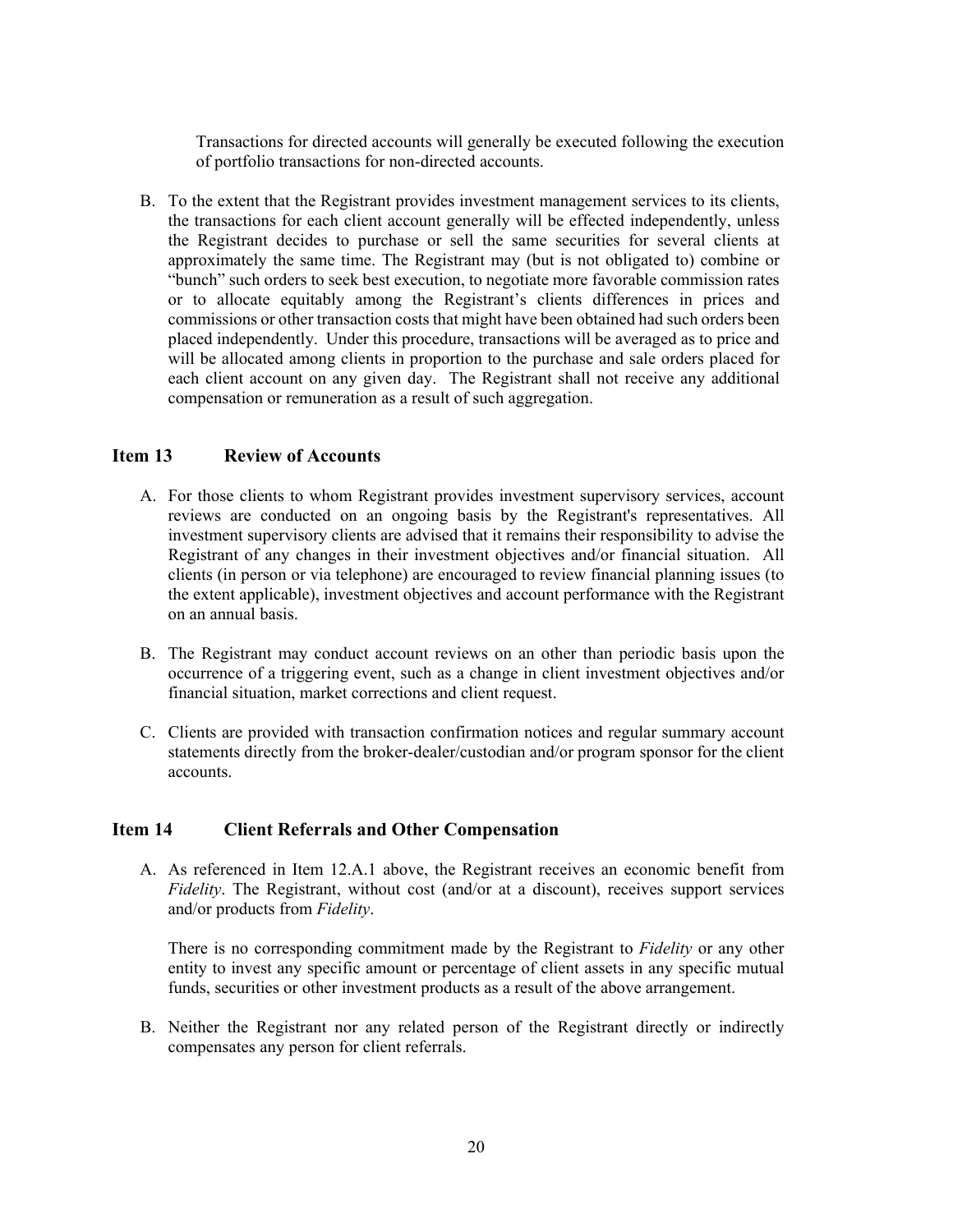Transactions for directed accounts will generally be executed following the execution of portfolio transactions for non-directed accounts.

B. To the extent that the Registrant provides investment management services to its clients, the transactions for each client account generally will be effected independently, unless the Registrant decides to purchase or sell the same securities for several clients at approximately the same time. The Registrant may (but is not obligated to) combine or "bunch" such orders to seek best execution, to negotiate more favorable commission rates or to allocate equitably among the Registrant's clients differences in prices and commissions or other transaction costs that might have been obtained had such orders been placed independently. Under this procedure, transactions will be averaged as to price and will be allocated among clients in proportion to the purchase and sale orders placed for each client account on any given day. The Registrant shall not receive any additional compensation or remuneration as a result of such aggregation.

#### <span id="page-19-0"></span>**Item 13 Review of Accounts**

- A. For those clients to whom Registrant provides investment supervisory services, account reviews are conducted on an ongoing basis by the Registrant's representatives. All investment supervisory clients are advised that it remains their responsibility to advise the Registrant of any changes in their investment objectives and/or financial situation. All clients (in person or via telephone) are encouraged to review financial planning issues (to the extent applicable), investment objectives and account performance with the Registrant on an annual basis.
- B. The Registrant may conduct account reviews on an other than periodic basis upon the occurrence of a triggering event, such as a change in client investment objectives and/or financial situation, market corrections and client request.
- C. Clients are provided with transaction confirmation notices and regular summary account statements directly from the broker-dealer/custodian and/or program sponsor for the client accounts.

#### <span id="page-19-1"></span>**Item 14 Client Referrals and Other Compensation**

A. As referenced in Item 12.A.1 above, the Registrant receives an economic benefit from *Fidelity*. The Registrant, without cost (and/or at a discount), receives support services and/or products from *Fidelity*.

There is no corresponding commitment made by the Registrant to *Fidelity* or any other entity to invest any specific amount or percentage of client assets in any specific mutual funds, securities or other investment products as a result of the above arrangement.

B. Neither the Registrant nor any related person of the Registrant directly or indirectly compensates any person for client referrals.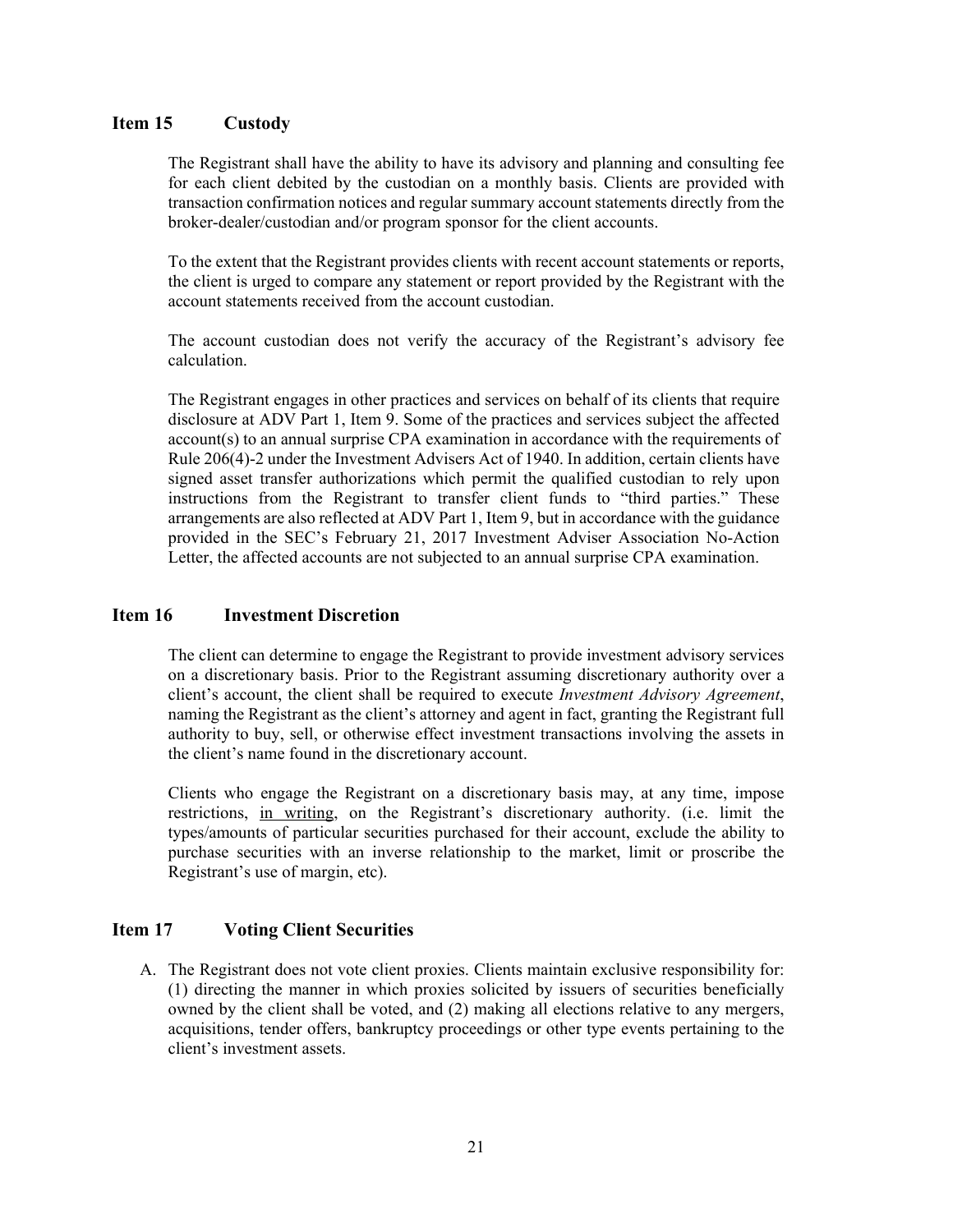#### <span id="page-20-0"></span>**Item 15 Custody**

The Registrant shall have the ability to have its advisory and planning and consulting fee for each client debited by the custodian on a monthly basis. Clients are provided with transaction confirmation notices and regular summary account statements directly from the broker-dealer/custodian and/or program sponsor for the client accounts.

To the extent that the Registrant provides clients with recent account statements or reports, the client is urged to compare any statement or report provided by the Registrant with the account statements received from the account custodian.

The account custodian does not verify the accuracy of the Registrant's advisory fee calculation.

<span id="page-20-1"></span>The Registrant engages in other practices and services on behalf of its clients that require disclosure at ADV Part 1, Item 9. Some of the practices and services subject the affected account(s) to an annual surprise CPA examination in accordance with the requirements of Rule 206(4)-2 under the Investment Advisers Act of 1940. In addition, certain clients have signed asset transfer authorizations which permit the qualified custodian to rely upon instructions from the Registrant to transfer client funds to "third parties." These arrangements are also reflected at ADV Part 1, Item 9, but in accordance with the guidance provided in the SEC's February 21, 2017 Investment Adviser Association No-Action Letter, the affected accounts are not subjected to an annual surprise CPA examination.

#### **Item 16 Investment Discretion**

The client can determine to engage the Registrant to provide investment advisory services on a discretionary basis. Prior to the Registrant assuming discretionary authority over a client's account, the client shall be required to execute *Investment Advisory Agreement*, naming the Registrant as the client's attorney and agent in fact, granting the Registrant full authority to buy, sell, or otherwise effect investment transactions involving the assets in the client's name found in the discretionary account.

Clients who engage the Registrant on a discretionary basis may, at any time, impose restrictions, in writing, on the Registrant's discretionary authority. (i.e. limit the types/amounts of particular securities purchased for their account, exclude the ability to purchase securities with an inverse relationship to the market, limit or proscribe the Registrant's use of margin, etc).

#### <span id="page-20-2"></span>**Item 17 Voting Client Securities**

A. The Registrant does not vote client proxies. Clients maintain exclusive responsibility for: (1) directing the manner in which proxies solicited by issuers of securities beneficially owned by the client shall be voted, and (2) making all elections relative to any mergers, acquisitions, tender offers, bankruptcy proceedings or other type events pertaining to the client's investment assets.